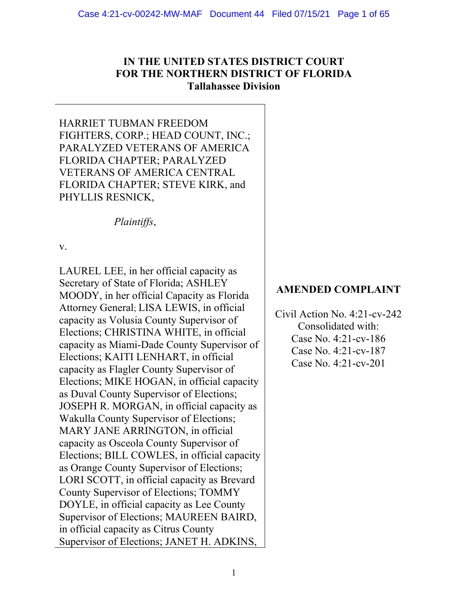# **IN THE UNITED STATES DISTRICT COURT FOR THE NORTHERN DISTRICT OF FLORIDA Tallahassee Division**

HARRIET TUBMAN FREEDOM FIGHTERS, CORP.; HEAD COUNT, INC.; PARALYZED VETERANS OF AMERICA FLORIDA CHAPTER; PARALYZED VETERANS OF AMERICA CENTRAL FLORIDA CHAPTER; STEVE KIRK, and PHYLLIS RESNICK,

*Plaintiffs*,

v.

LAUREL LEE, in her official capacity as Secretary of State of Florida; ASHLEY MOODY, in her official Capacity as Florida Attorney General; LISA LEWIS, in official capacity as Volusia County Supervisor of Elections; CHRISTINA WHITE, in official capacity as Miami-Dade County Supervisor of Elections; KAITI LENHART, in official capacity as Flagler County Supervisor of Elections; MIKE HOGAN, in official capacity as Duval County Supervisor of Elections; JOSEPH R. MORGAN, in official capacity as Wakulla County Supervisor of Elections; MARY JANE ARRINGTON, in official capacity as Osceola County Supervisor of Elections; BILL COWLES, in official capacity as Orange County Supervisor of Elections; LORI SCOTT, in official capacity as Brevard County Supervisor of Elections; TOMMY DOYLE, in official capacity as Lee County Supervisor of Elections; MAUREEN BAIRD, in official capacity as Citrus County Supervisor of Elections; JANET H. ADKINS,

# **AMENDED COMPLAINT**

Civil Action No. 4:21-cv-242 Consolidated with: Case No. 4:21-cv-186 Case No. 4:21-cv-187 Case No. 4:21-cv-201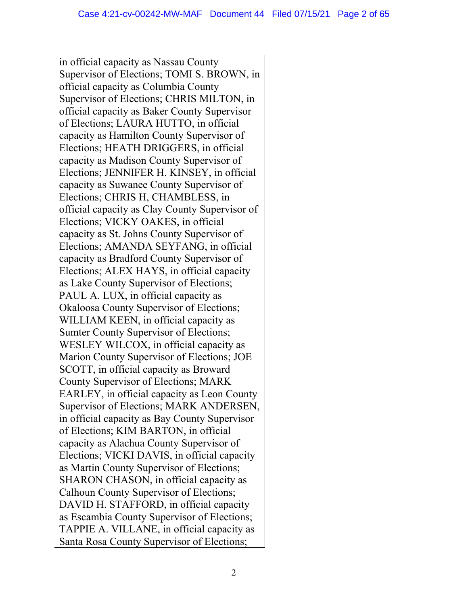in official capacity as Nassau County Supervisor of Elections; TOMI S. BROWN, in official capacity as Columbia County Supervisor of Elections; CHRIS MILTON, in official capacity as Baker County Supervisor of Elections; LAURA HUTTO, in official capacity as Hamilton County Supervisor of Elections; HEATH DRIGGERS, in official capacity as Madison County Supervisor of Elections; JENNIFER H. KINSEY, in official capacity as Suwanee County Supervisor of Elections; CHRIS H, CHAMBLESS, in official capacity as Clay County Supervisor of Elections; VICKY OAKES, in official capacity as St. Johns County Supervisor of Elections; AMANDA SEYFANG, in official capacity as Bradford County Supervisor of Elections; ALEX HAYS, in official capacity as Lake County Supervisor of Elections; PAUL A. LUX, in official capacity as Okaloosa County Supervisor of Elections; WILLIAM KEEN, in official capacity as Sumter County Supervisor of Elections; WESLEY WILCOX, in official capacity as Marion County Supervisor of Elections; JOE SCOTT, in official capacity as Broward County Supervisor of Elections; MARK EARLEY, in official capacity as Leon County Supervisor of Elections; MARK ANDERSEN, in official capacity as Bay County Supervisor of Elections; KIM BARTON, in official capacity as Alachua County Supervisor of Elections; VICKI DAVIS, in official capacity as Martin County Supervisor of Elections; SHARON CHASON, in official capacity as Calhoun County Supervisor of Elections; DAVID H. STAFFORD, in official capacity as Escambia County Supervisor of Elections; TAPPIE A. VILLANE, in official capacity as Santa Rosa County Supervisor of Elections;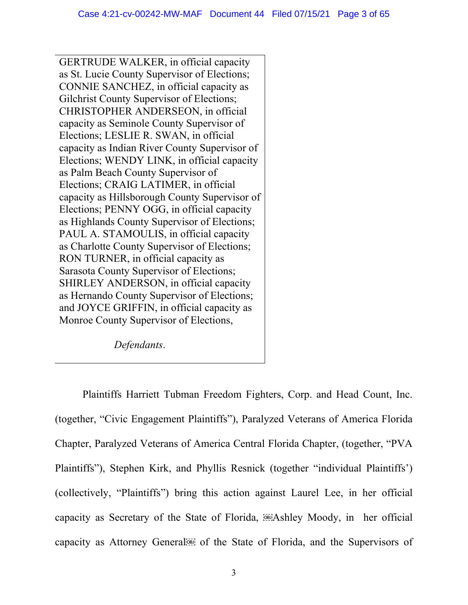GERTRUDE WALKER, in official capacity as St. Lucie County Supervisor of Elections; CONNIE SANCHEZ, in official capacity as Gilchrist County Supervisor of Elections; CHRISTOPHER ANDERSEON, in official capacity as Seminole County Supervisor of Elections; LESLIE R. SWAN, in official capacity as Indian River County Supervisor of Elections; WENDY LINK, in official capacity as Palm Beach County Supervisor of Elections; CRAIG LATIMER, in official capacity as Hillsborough County Supervisor of Elections; PENNY OGG, in official capacity as Highlands County Supervisor of Elections; PAUL A. STAMOULIS, in official capacity as Charlotte County Supervisor of Elections; RON TURNER, in official capacity as Sarasota County Supervisor of Elections; SHIRLEY ANDERSON, in official capacity as Hernando County Supervisor of Elections; and JOYCE GRIFFIN, in official capacity as Monroe County Supervisor of Elections,

*Defendants*.

Plaintiffs Harriett Tubman Freedom Fighters, Corp. and Head Count, Inc. (together, "Civic Engagement Plaintiffs"), Paralyzed Veterans of America Florida Chapter, Paralyzed Veterans of America Central Florida Chapter, (together, "PVA Plaintiffs"), Stephen Kirk, and Phyllis Resnick (together "individual Plaintiffs') (collectively, "Plaintiffs") bring this action against Laurel Lee, in her official capacity as Secretary of the State of Florida, **Exampled** Moody, in her official capacity as Attorney General is of the State of Florida, and the Supervisors of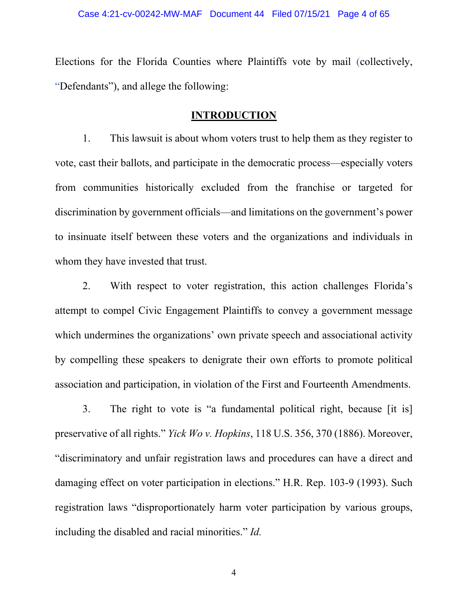Elections for the Florida Counties where Plaintiffs vote by mail (collectively, "Defendants"), and allege the following:

## **INTRODUCTION**

1. This lawsuit is about whom voters trust to help them as they register to vote, cast their ballots, and participate in the democratic process—especially voters from communities historically excluded from the franchise or targeted for discrimination by government officials—and limitations on the government's power to insinuate itself between these voters and the organizations and individuals in whom they have invested that trust.

2. With respect to voter registration, this action challenges Florida's attempt to compel Civic Engagement Plaintiffs to convey a government message which undermines the organizations' own private speech and associational activity by compelling these speakers to denigrate their own efforts to promote political association and participation, in violation of the First and Fourteenth Amendments.

3. The right to vote is "a fundamental political right, because [it is] preservative of all rights." *Yick Wo v. Hopkins*, 118 U.S. 356, 370 (1886). Moreover, "discriminatory and unfair registration laws and procedures can have a direct and damaging effect on voter participation in elections." H.R. Rep. 103-9 (1993). Such registration laws "disproportionately harm voter participation by various groups, including the disabled and racial minorities." *Id.*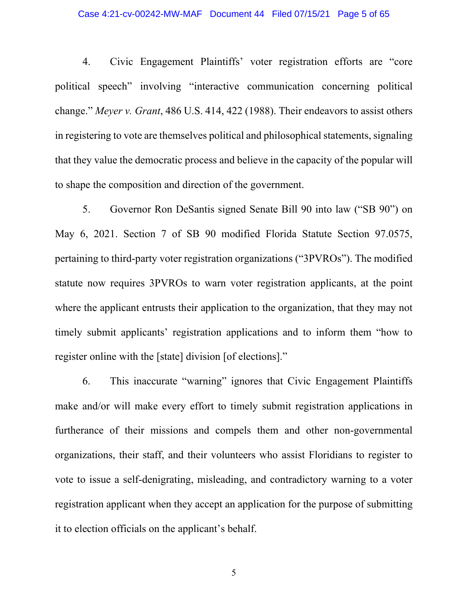### Case 4:21-cv-00242-MW-MAF Document 44 Filed 07/15/21 Page 5 of 65

4. Civic Engagement Plaintiffs' voter registration efforts are "core political speech" involving "interactive communication concerning political change." *Meyer v. Grant*, 486 U.S. 414, 422 (1988). Their endeavors to assist others in registering to vote are themselves political and philosophical statements, signaling that they value the democratic process and believe in the capacity of the popular will to shape the composition and direction of the government.

5. Governor Ron DeSantis signed Senate Bill 90 into law ("SB 90") on May 6, 2021. Section 7 of SB 90 modified Florida Statute Section 97.0575, pertaining to third-party voter registration organizations ("3PVROs"). The modified statute now requires 3PVROs to warn voter registration applicants, at the point where the applicant entrusts their application to the organization, that they may not timely submit applicants' registration applications and to inform them "how to register online with the [state] division [of elections]."

6. This inaccurate "warning" ignores that Civic Engagement Plaintiffs make and/or will make every effort to timely submit registration applications in furtherance of their missions and compels them and other non-governmental organizations, their staff, and their volunteers who assist Floridians to register to vote to issue a self-denigrating, misleading, and contradictory warning to a voter registration applicant when they accept an application for the purpose of submitting it to election officials on the applicant's behalf.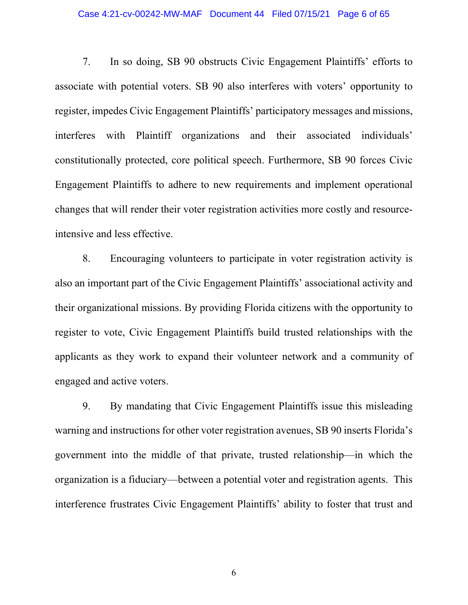7. In so doing, SB 90 obstructs Civic Engagement Plaintiffs' efforts to associate with potential voters. SB 90 also interferes with voters' opportunity to register, impedes Civic Engagement Plaintiffs' participatory messages and missions, interferes with Plaintiff organizations and their associated individuals' constitutionally protected, core political speech. Furthermore, SB 90 forces Civic Engagement Plaintiffs to adhere to new requirements and implement operational changes that will render their voter registration activities more costly and resourceintensive and less effective.

8. Encouraging volunteers to participate in voter registration activity is also an important part of the Civic Engagement Plaintiffs' associational activity and their organizational missions. By providing Florida citizens with the opportunity to register to vote, Civic Engagement Plaintiffs build trusted relationships with the applicants as they work to expand their volunteer network and a community of engaged and active voters.

9. By mandating that Civic Engagement Plaintiffs issue this misleading warning and instructions for other voter registration avenues, SB 90 inserts Florida's government into the middle of that private, trusted relationship—in which the organization is a fiduciary—between a potential voter and registration agents. This interference frustrates Civic Engagement Plaintiffs' ability to foster that trust and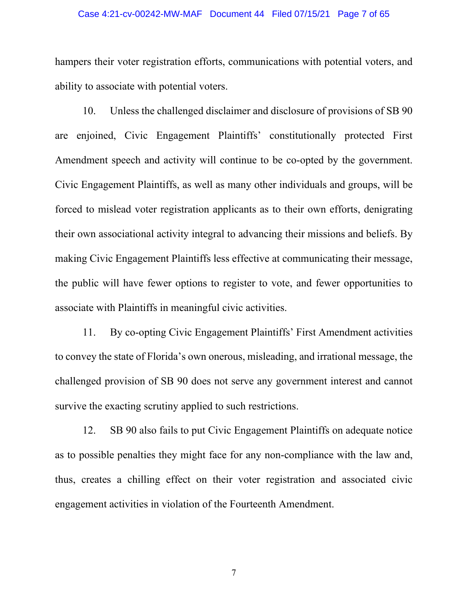### Case 4:21-cv-00242-MW-MAF Document 44 Filed 07/15/21 Page 7 of 65

hampers their voter registration efforts, communications with potential voters, and ability to associate with potential voters.

10. Unless the challenged disclaimer and disclosure of provisions of SB 90 are enjoined, Civic Engagement Plaintiffs' constitutionally protected First Amendment speech and activity will continue to be co-opted by the government. Civic Engagement Plaintiffs, as well as many other individuals and groups, will be forced to mislead voter registration applicants as to their own efforts, denigrating their own associational activity integral to advancing their missions and beliefs. By making Civic Engagement Plaintiffs less effective at communicating their message, the public will have fewer options to register to vote, and fewer opportunities to associate with Plaintiffs in meaningful civic activities.

11. By co-opting Civic Engagement Plaintiffs' First Amendment activities to convey the state of Florida's own onerous, misleading, and irrational message, the challenged provision of SB 90 does not serve any government interest and cannot survive the exacting scrutiny applied to such restrictions.

12. SB 90 also fails to put Civic Engagement Plaintiffs on adequate notice as to possible penalties they might face for any non-compliance with the law and, thus, creates a chilling effect on their voter registration and associated civic engagement activities in violation of the Fourteenth Amendment.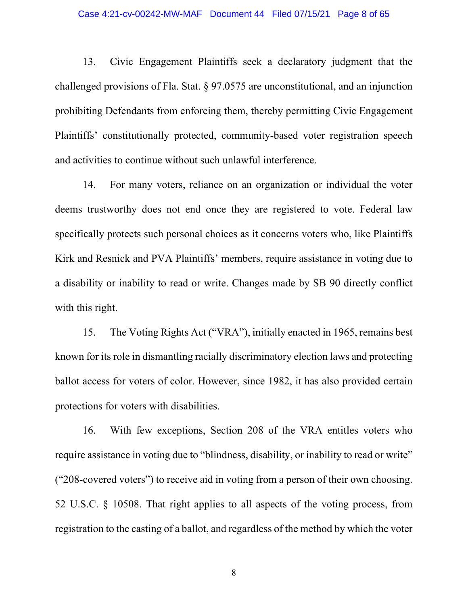13. Civic Engagement Plaintiffs seek a declaratory judgment that the challenged provisions of Fla. Stat. § 97.0575 are unconstitutional, and an injunction prohibiting Defendants from enforcing them, thereby permitting Civic Engagement Plaintiffs' constitutionally protected, community-based voter registration speech and activities to continue without such unlawful interference.

14. For many voters, reliance on an organization or individual the voter deems trustworthy does not end once they are registered to vote. Federal law specifically protects such personal choices as it concerns voters who, like Plaintiffs Kirk and Resnick and PVA Plaintiffs' members, require assistance in voting due to a disability or inability to read or write. Changes made by SB 90 directly conflict with this right.

15. The Voting Rights Act ("VRA"), initially enacted in 1965, remains best known for its role in dismantling racially discriminatory election laws and protecting ballot access for voters of color. However, since 1982, it has also provided certain protections for voters with disabilities.

16. With few exceptions, Section 208 of the VRA entitles voters who require assistance in voting due to "blindness, disability, or inability to read or write" ("208-covered voters") to receive aid in voting from a person of their own choosing. 52 U.S.C. § 10508. That right applies to all aspects of the voting process, from registration to the casting of a ballot, and regardless of the method by which the voter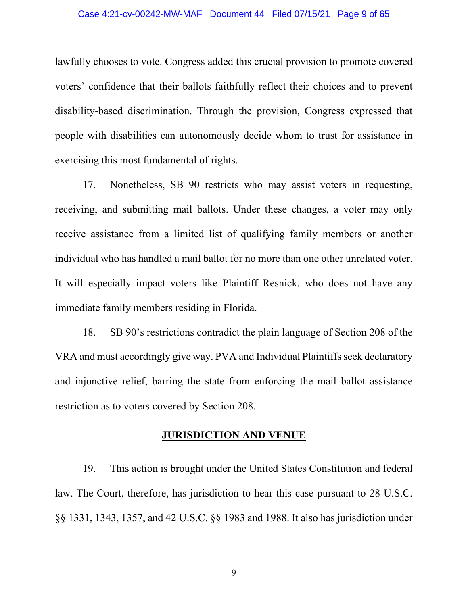lawfully chooses to vote. Congress added this crucial provision to promote covered voters' confidence that their ballots faithfully reflect their choices and to prevent disability-based discrimination. Through the provision, Congress expressed that people with disabilities can autonomously decide whom to trust for assistance in exercising this most fundamental of rights.

17. Nonetheless, SB 90 restricts who may assist voters in requesting, receiving, and submitting mail ballots. Under these changes, a voter may only receive assistance from a limited list of qualifying family members or another individual who has handled a mail ballot for no more than one other unrelated voter. It will especially impact voters like Plaintiff Resnick, who does not have any immediate family members residing in Florida.

18. SB 90's restrictions contradict the plain language of Section 208 of the VRA and must accordingly give way. PVA and Individual Plaintiffs seek declaratory and injunctive relief, barring the state from enforcing the mail ballot assistance restriction as to voters covered by Section 208.

## **JURISDICTION AND VENUE**

19. This action is brought under the United States Constitution and federal law. The Court, therefore, has jurisdiction to hear this case pursuant to 28 U.S.C. §§ 1331, 1343, 1357, and 42 U.S.C. §§ 1983 and 1988. It also has jurisdiction under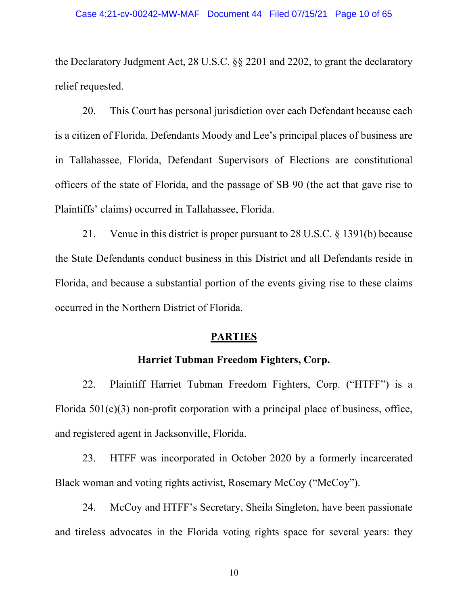the Declaratory Judgment Act, 28 U.S.C. §§ 2201 and 2202, to grant the declaratory relief requested.

20. This Court has personal jurisdiction over each Defendant because each is a citizen of Florida, Defendants Moody and Lee's principal places of business are in Tallahassee, Florida, Defendant Supervisors of Elections are constitutional officers of the state of Florida, and the passage of SB 90 (the act that gave rise to Plaintiffs' claims) occurred in Tallahassee, Florida.

21. Venue in this district is proper pursuant to 28 U.S.C. § 1391(b) because the State Defendants conduct business in this District and all Defendants reside in Florida, and because a substantial portion of the events giving rise to these claims occurred in the Northern District of Florida.

## **PARTIES**

### **Harriet Tubman Freedom Fighters, Corp.**

22. Plaintiff Harriet Tubman Freedom Fighters, Corp. ("HTFF") is a Florida  $501(c)(3)$  non-profit corporation with a principal place of business, office, and registered agent in Jacksonville, Florida.

23. HTFF was incorporated in October 2020 by a formerly incarcerated Black woman and voting rights activist, Rosemary McCoy ("McCoy").

24. McCoy and HTFF's Secretary, Sheila Singleton, have been passionate and tireless advocates in the Florida voting rights space for several years: they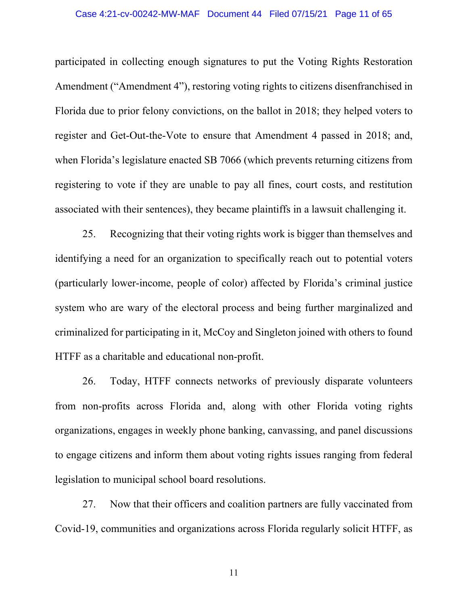participated in collecting enough signatures to put the Voting Rights Restoration Amendment ("Amendment 4"), restoring voting rights to citizens disenfranchised in Florida due to prior felony convictions, on the ballot in 2018; they helped voters to register and Get-Out-the-Vote to ensure that Amendment 4 passed in 2018; and, when Florida's legislature enacted SB 7066 (which prevents returning citizens from registering to vote if they are unable to pay all fines, court costs, and restitution associated with their sentences), they became plaintiffs in a lawsuit challenging it.

25. Recognizing that their voting rights work is bigger than themselves and identifying a need for an organization to specifically reach out to potential voters (particularly lower-income, people of color) affected by Florida's criminal justice system who are wary of the electoral process and being further marginalized and criminalized for participating in it, McCoy and Singleton joined with others to found HTFF as a charitable and educational non-profit.

26. Today, HTFF connects networks of previously disparate volunteers from non-profits across Florida and, along with other Florida voting rights organizations, engages in weekly phone banking, canvassing, and panel discussions to engage citizens and inform them about voting rights issues ranging from federal legislation to municipal school board resolutions.

27. Now that their officers and coalition partners are fully vaccinated from Covid-19, communities and organizations across Florida regularly solicit HTFF, as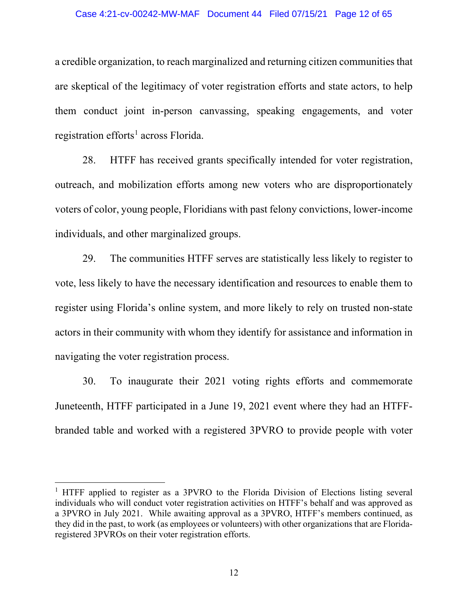#### Case 4:21-cv-00242-MW-MAF Document 44 Filed 07/15/21 Page 12 of 65

a credible organization, to reach marginalized and returning citizen communities that are skeptical of the legitimacy of voter registration efforts and state actors, to help them conduct joint in-person canvassing, speaking engagements, and voter registration efforts<sup>[1](#page-11-0)</sup> across Florida.

28. HTFF has received grants specifically intended for voter registration, outreach, and mobilization efforts among new voters who are disproportionately voters of color, young people, Floridians with past felony convictions, lower-income individuals, and other marginalized groups.

29. The communities HTFF serves are statistically less likely to register to vote, less likely to have the necessary identification and resources to enable them to register using Florida's online system, and more likely to rely on trusted non-state actors in their community with whom they identify for assistance and information in navigating the voter registration process.

30. To inaugurate their 2021 voting rights efforts and commemorate Juneteenth, HTFF participated in a June 19, 2021 event where they had an HTFFbranded table and worked with a registered 3PVRO to provide people with voter

<span id="page-11-0"></span><sup>&</sup>lt;sup>1</sup> HTFF applied to register as a 3PVRO to the Florida Division of Elections listing several individuals who will conduct voter registration activities on HTFF's behalf and was approved as a 3PVRO in July 2021. While awaiting approval as a 3PVRO, HTFF's members continued, as they did in the past, to work (as employees or volunteers) with other organizations that are Floridaregistered 3PVROs on their voter registration efforts.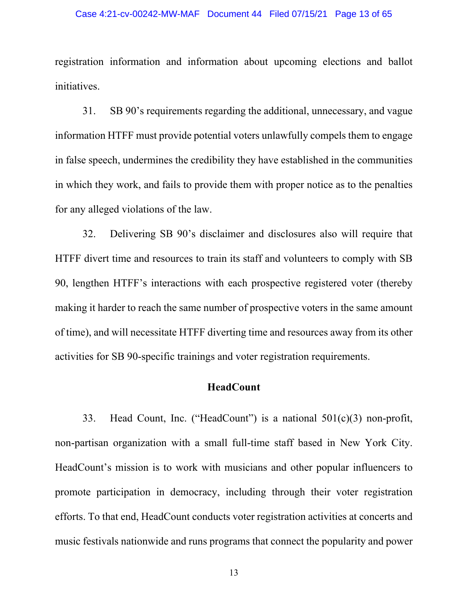### Case 4:21-cv-00242-MW-MAF Document 44 Filed 07/15/21 Page 13 of 65

registration information and information about upcoming elections and ballot initiatives.

31. SB 90's requirements regarding the additional, unnecessary, and vague information HTFF must provide potential voters unlawfully compels them to engage in false speech, undermines the credibility they have established in the communities in which they work, and fails to provide them with proper notice as to the penalties for any alleged violations of the law.

32. Delivering SB 90's disclaimer and disclosures also will require that HTFF divert time and resources to train its staff and volunteers to comply with SB 90, lengthen HTFF's interactions with each prospective registered voter (thereby making it harder to reach the same number of prospective voters in the same amount of time), and will necessitate HTFF diverting time and resources away from its other activities for SB 90-specific trainings and voter registration requirements.

## **HeadCount**

33. Head Count, Inc. ("HeadCount") is a national 501(c)(3) non-profit, non-partisan organization with a small full-time staff based in New York City. HeadCount's mission is to work with musicians and other popular influencers to promote participation in democracy, including through their voter registration efforts. To that end, HeadCount conducts voter registration activities at concerts and music festivals nationwide and runs programs that connect the popularity and power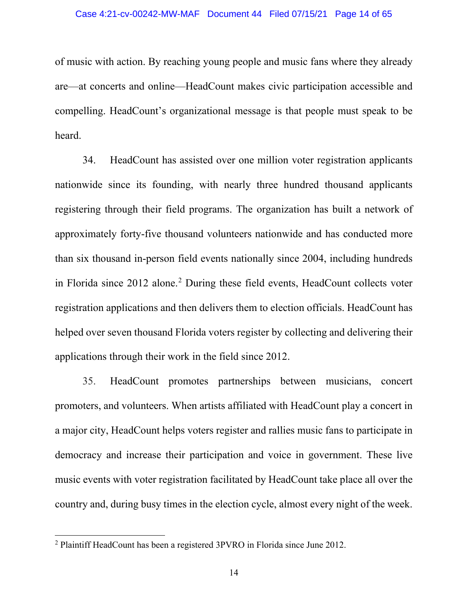of music with action. By reaching young people and music fans where they already are—at concerts and online—HeadCount makes civic participation accessible and compelling. HeadCount's organizational message is that people must speak to be heard.

34. HeadCount has assisted over one million voter registration applicants nationwide since its founding, with nearly three hundred thousand applicants registering through their field programs. The organization has built a network of approximately forty-five thousand volunteers nationwide and has conducted more than six thousand in-person field events nationally since 2004, including hundreds in Florida since 2012 alone. [2](#page-13-0) During these field events, HeadCount collects voter registration applications and then delivers them to election officials. HeadCount has helped over seven thousand Florida voters register by collecting and delivering their applications through their work in the field since 2012.

35. HeadCount promotes partnerships between musicians, concert promoters, and volunteers. When artists affiliated with HeadCount play a concert in a major city, HeadCount helps voters register and rallies music fans to participate in democracy and increase their participation and voice in government. These live music events with voter registration facilitated by HeadCount take place all over the country and, during busy times in the election cycle, almost every night of the week.

<span id="page-13-0"></span><sup>2</sup> Plaintiff HeadCount has been a registered 3PVRO in Florida since June 2012.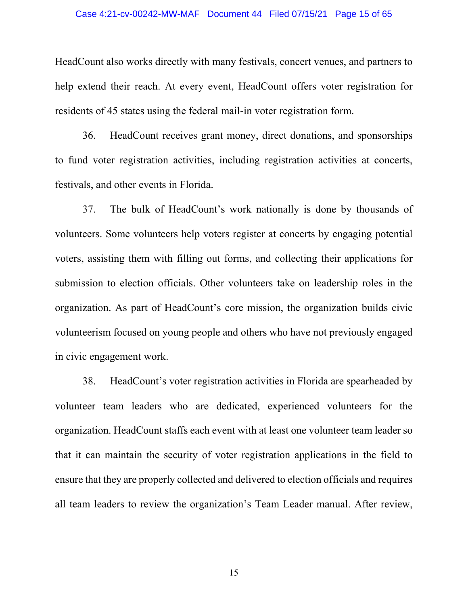### Case 4:21-cv-00242-MW-MAF Document 44 Filed 07/15/21 Page 15 of 65

HeadCount also works directly with many festivals, concert venues, and partners to help extend their reach. At every event, HeadCount offers voter registration for residents of 45 states using the federal mail-in voter registration form.

36. HeadCount receives grant money, direct donations, and sponsorships to fund voter registration activities, including registration activities at concerts, festivals, and other events in Florida.

37. The bulk of HeadCount's work nationally is done by thousands of volunteers. Some volunteers help voters register at concerts by engaging potential voters, assisting them with filling out forms, and collecting their applications for submission to election officials. Other volunteers take on leadership roles in the organization. As part of HeadCount's core mission, the organization builds civic volunteerism focused on young people and others who have not previously engaged in civic engagement work.

38. HeadCount's voter registration activities in Florida are spearheaded by volunteer team leaders who are dedicated, experienced volunteers for the organization. HeadCount staffs each event with at least one volunteer team leader so that it can maintain the security of voter registration applications in the field to ensure that they are properly collected and delivered to election officials and requires all team leaders to review the organization's Team Leader manual. After review,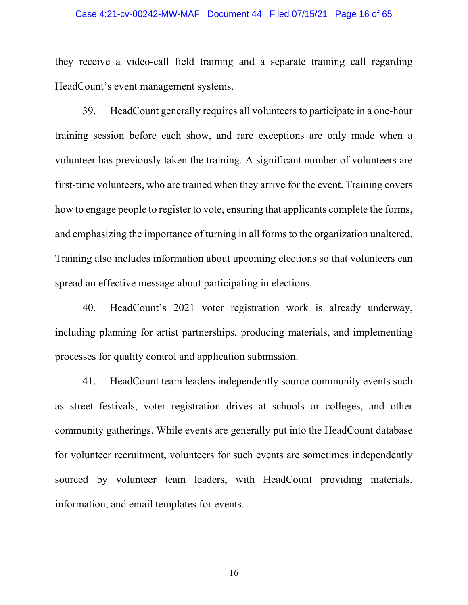### Case 4:21-cv-00242-MW-MAF Document 44 Filed 07/15/21 Page 16 of 65

they receive a video-call field training and a separate training call regarding HeadCount's event management systems.

39. HeadCount generally requires all volunteers to participate in a one-hour training session before each show, and rare exceptions are only made when a volunteer has previously taken the training. A significant number of volunteers are first-time volunteers, who are trained when they arrive for the event. Training covers how to engage people to register to vote, ensuring that applicants complete the forms, and emphasizing the importance of turning in all forms to the organization unaltered. Training also includes information about upcoming elections so that volunteers can spread an effective message about participating in elections.

40. HeadCount's 2021 voter registration work is already underway, including planning for artist partnerships, producing materials, and implementing processes for quality control and application submission.

41. HeadCount team leaders independently source community events such as street festivals, voter registration drives at schools or colleges, and other community gatherings. While events are generally put into the HeadCount database for volunteer recruitment, volunteers for such events are sometimes independently sourced by volunteer team leaders, with HeadCount providing materials, information, and email templates for events.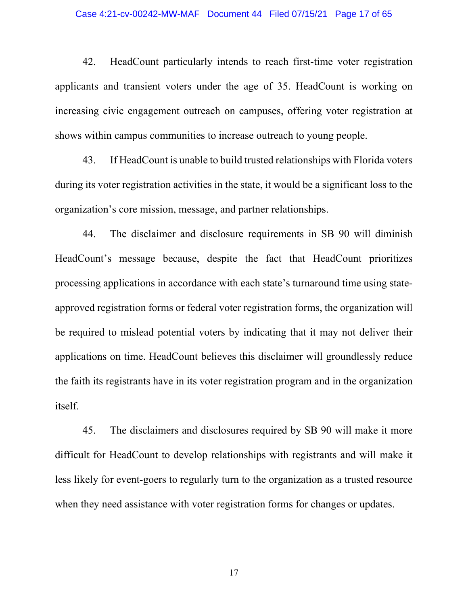42. HeadCount particularly intends to reach first-time voter registration applicants and transient voters under the age of 35. HeadCount is working on increasing civic engagement outreach on campuses, offering voter registration at shows within campus communities to increase outreach to young people.

43. If HeadCount is unable to build trusted relationships with Florida voters during its voter registration activities in the state, it would be a significant loss to the organization's core mission, message, and partner relationships.

44. The disclaimer and disclosure requirements in SB 90 will diminish HeadCount's message because, despite the fact that HeadCount prioritizes processing applications in accordance with each state's turnaround time using stateapproved registration forms or federal voter registration forms, the organization will be required to mislead potential voters by indicating that it may not deliver their applications on time. HeadCount believes this disclaimer will groundlessly reduce the faith its registrants have in its voter registration program and in the organization itself.

45. The disclaimers and disclosures required by SB 90 will make it more difficult for HeadCount to develop relationships with registrants and will make it less likely for event-goers to regularly turn to the organization as a trusted resource when they need assistance with voter registration forms for changes or updates.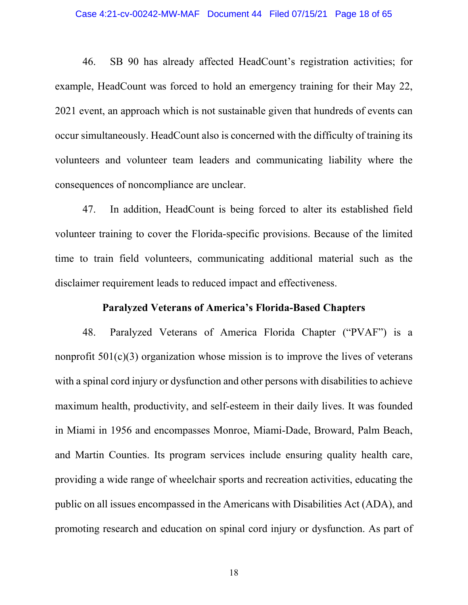### Case 4:21-cv-00242-MW-MAF Document 44 Filed 07/15/21 Page 18 of 65

46. SB 90 has already affected HeadCount's registration activities; for example, HeadCount was forced to hold an emergency training for their May 22, 2021 event, an approach which is not sustainable given that hundreds of events can occur simultaneously. HeadCount also is concerned with the difficulty of training its volunteers and volunteer team leaders and communicating liability where the consequences of noncompliance are unclear.

47. In addition, HeadCount is being forced to alter its established field volunteer training to cover the Florida-specific provisions. Because of the limited time to train field volunteers, communicating additional material such as the disclaimer requirement leads to reduced impact and effectiveness.

### **Paralyzed Veterans of America's Florida-Based Chapters**

48. Paralyzed Veterans of America Florida Chapter ("PVAF") is a nonprofit  $501(c)(3)$  organization whose mission is to improve the lives of veterans with a spinal cord injury or dysfunction and other persons with disabilities to achieve maximum health, productivity, and self-esteem in their daily lives. It was founded in Miami in 1956 and encompasses Monroe, Miami-Dade, Broward, Palm Beach, and Martin Counties. Its program services include ensuring quality health care, providing a wide range of wheelchair sports and recreation activities, educating the public on all issues encompassed in the Americans with Disabilities Act (ADA), and promoting research and education on spinal cord injury or dysfunction. As part of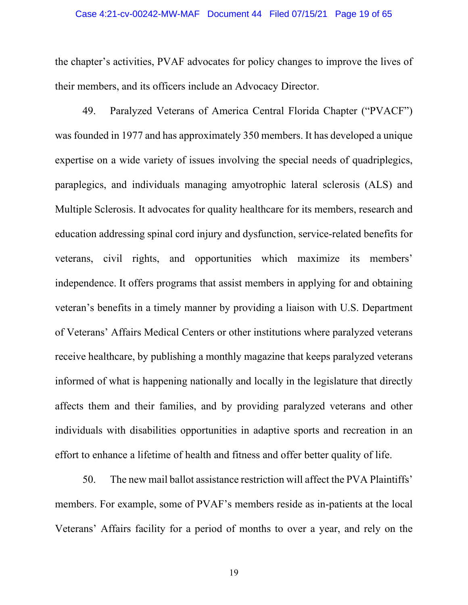the chapter's activities, PVAF advocates for policy changes to improve the lives of their members, and its officers include an Advocacy Director.

49. Paralyzed Veterans of America Central Florida Chapter ("PVACF") was founded in 1977 and has approximately 350 members. It has developed a unique expertise on a wide variety of issues involving the special needs of quadriplegics, paraplegics, and individuals managing amyotrophic lateral sclerosis (ALS) and Multiple Sclerosis. It advocates for quality healthcare for its members, research and education addressing spinal cord injury and dysfunction, service-related benefits for veterans, civil rights, and opportunities which maximize its members' independence. It offers programs that assist members in applying for and obtaining veteran's benefits in a timely manner by providing a liaison with U.S. Department of Veterans' Affairs Medical Centers or other institutions where paralyzed veterans receive healthcare, by publishing a monthly magazine that keeps paralyzed veterans informed of what is happening nationally and locally in the legislature that directly affects them and their families, and by providing paralyzed veterans and other individuals with disabilities opportunities in adaptive sports and recreation in an effort to enhance a lifetime of health and fitness and offer better quality of life.

50. The new mail ballot assistance restriction will affect the PVA Plaintiffs' members. For example, some of PVAF's members reside as in-patients at the local Veterans' Affairs facility for a period of months to over a year, and rely on the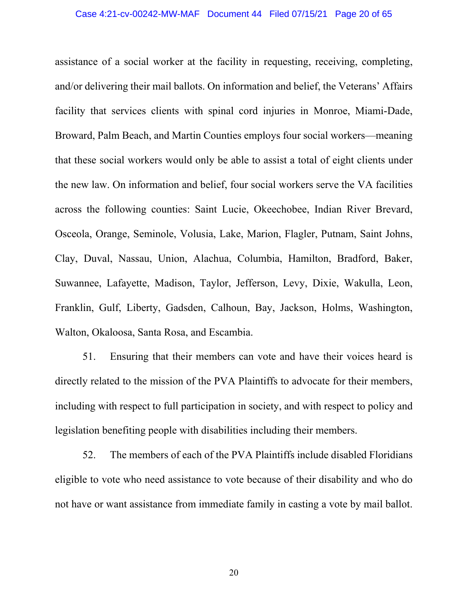assistance of a social worker at the facility in requesting, receiving, completing, and/or delivering their mail ballots. On information and belief, the Veterans' Affairs facility that services clients with spinal cord injuries in Monroe, Miami-Dade, Broward, Palm Beach, and Martin Counties employs four social workers—meaning that these social workers would only be able to assist a total of eight clients under the new law. On information and belief, four social workers serve the VA facilities across the following counties: Saint Lucie, Okeechobee, Indian River Brevard, Osceola, Orange, Seminole, Volusia, Lake, Marion, Flagler, Putnam, Saint Johns, Clay, Duval, Nassau, Union, Alachua, Columbia, Hamilton, Bradford, Baker, Suwannee, Lafayette, Madison, Taylor, Jefferson, Levy, Dixie, Wakulla, Leon, Franklin, Gulf, Liberty, Gadsden, Calhoun, Bay, Jackson, Holms, Washington, Walton, Okaloosa, Santa Rosa, and Escambia.

51. Ensuring that their members can vote and have their voices heard is directly related to the mission of the PVA Plaintiffs to advocate for their members, including with respect to full participation in society, and with respect to policy and legislation benefiting people with disabilities including their members.

52. The members of each of the PVA Plaintiffs include disabled Floridians eligible to vote who need assistance to vote because of their disability and who do not have or want assistance from immediate family in casting a vote by mail ballot.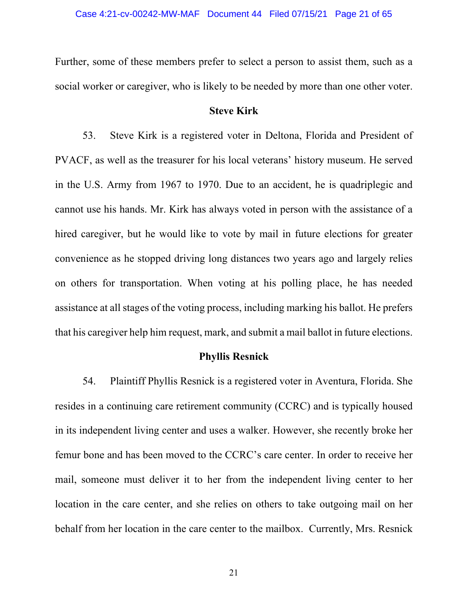Further, some of these members prefer to select a person to assist them, such as a social worker or caregiver, who is likely to be needed by more than one other voter.

## **Steve Kirk**

53. Steve Kirk is a registered voter in Deltona, Florida and President of PVACF, as well as the treasurer for his local veterans' history museum. He served in the U.S. Army from 1967 to 1970. Due to an accident, he is quadriplegic and cannot use his hands. Mr. Kirk has always voted in person with the assistance of a hired caregiver, but he would like to vote by mail in future elections for greater convenience as he stopped driving long distances two years ago and largely relies on others for transportation. When voting at his polling place, he has needed assistance at all stages of the voting process, including marking his ballot. He prefers that his caregiver help him request, mark, and submit a mail ballot in future elections.

## **Phyllis Resnick**

54. Plaintiff Phyllis Resnick is a registered voter in Aventura, Florida. She resides in a continuing care retirement community (CCRC) and is typically housed in its independent living center and uses a walker. However, she recently broke her femur bone and has been moved to the CCRC's care center. In order to receive her mail, someone must deliver it to her from the independent living center to her location in the care center, and she relies on others to take outgoing mail on her behalf from her location in the care center to the mailbox. Currently, Mrs. Resnick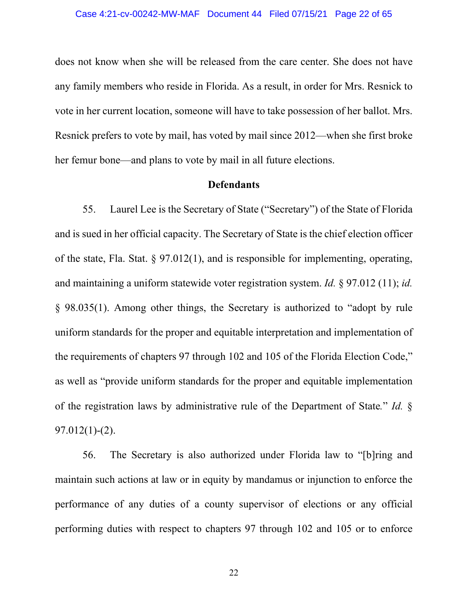does not know when she will be released from the care center. She does not have any family members who reside in Florida. As a result, in order for Mrs. Resnick to vote in her current location, someone will have to take possession of her ballot. Mrs. Resnick prefers to vote by mail, has voted by mail since 2012—when she first broke her femur bone—and plans to vote by mail in all future elections.

### **Defendants**

55. Laurel Lee is the Secretary of State ("Secretary") of the State of Florida and is sued in her official capacity. The Secretary of State is the chief election officer of the state, Fla. Stat. § 97.012(1), and is responsible for implementing, operating, and maintaining a uniform statewide voter registration system. *Id.* § 97.012 (11); *id.* § 98.035(1). Among other things, the Secretary is authorized to "adopt by rule uniform standards for the proper and equitable interpretation and implementation of the requirements of chapters 97 through 102 and 105 of the Florida Election Code," as well as "provide uniform standards for the proper and equitable implementation of the registration laws by administrative rule of the Department of State*.*" *Id.* § 97.012(1)-(2).

56. The Secretary is also authorized under Florida law to "[b]ring and maintain such actions at law or in equity by mandamus or injunction to enforce the performance of any duties of a county supervisor of elections or any official performing duties with respect to chapters 97 through 102 and 105 or to enforce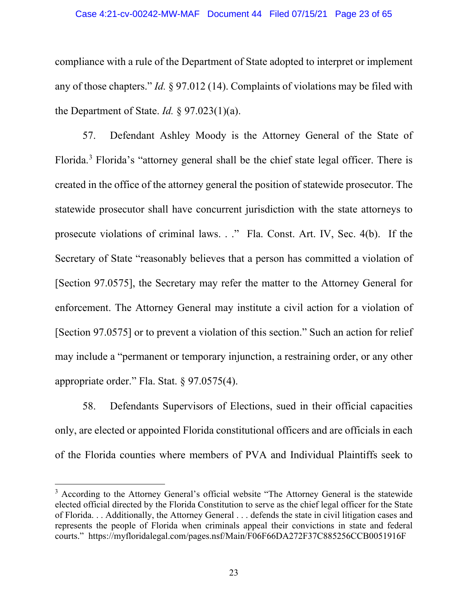compliance with a rule of the Department of State adopted to interpret or implement any of those chapters." *Id.* § 97.012 (14). Complaints of violations may be filed with the Department of State. *Id.* § 97.023(1)(a).

57. Defendant Ashley Moody is the Attorney General of the State of Florida.[3](#page-22-0) Florida's "attorney general shall be the chief state legal officer. There is created in the office of the attorney general the position of statewide prosecutor. The statewide prosecutor shall have concurrent jurisdiction with the state attorneys to prosecute violations of criminal laws. . ." Fla. Const. Art. IV, Sec. 4(b). If the Secretary of State "reasonably believes that a person has committed a violation of [Section 97.0575], the Secretary may refer the matter to the Attorney General for enforcement. The Attorney General may institute a civil action for a violation of [Section 97.0575] or to prevent a violation of this section." Such an action for relief may include a "permanent or temporary injunction, a restraining order, or any other appropriate order." Fla. Stat. § 97.0575(4).

58. Defendants Supervisors of Elections, sued in their official capacities only, are elected or appointed Florida constitutional officers and are officials in each of the Florida counties where members of PVA and Individual Plaintiffs seek to

<span id="page-22-0"></span><sup>&</sup>lt;sup>3</sup> According to the Attorney General's official website "The Attorney General is the statewide elected official directed by the Florida Constitution to serve as the chief legal officer for the State of Florida. . . Additionally, the Attorney General . . . defends the state in civil litigation cases and represents the people of Florida when criminals appeal their convictions in state and federal courts." https://myfloridalegal.com/pages.nsf/Main/F06F66DA272F37C885256CCB0051916F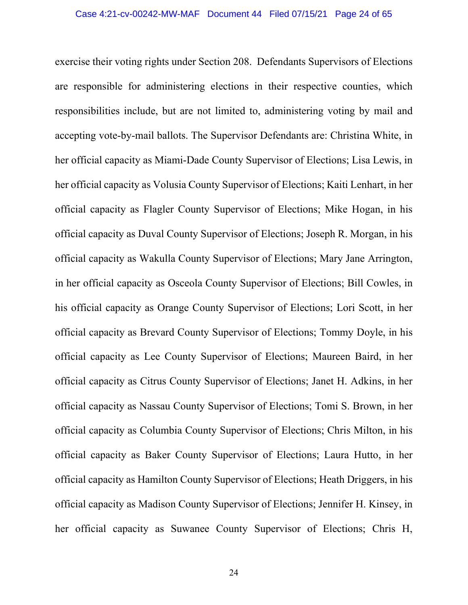exercise their voting rights under Section 208. Defendants Supervisors of Elections are responsible for administering elections in their respective counties, which responsibilities include, but are not limited to, administering voting by mail and accepting vote-by-mail ballots. The Supervisor Defendants are: Christina White, in her official capacity as Miami-Dade County Supervisor of Elections; Lisa Lewis, in her official capacity as Volusia County Supervisor of Elections; Kaiti Lenhart, in her official capacity as Flagler County Supervisor of Elections; Mike Hogan, in his official capacity as Duval County Supervisor of Elections; Joseph R. Morgan, in his official capacity as Wakulla County Supervisor of Elections; Mary Jane Arrington, in her official capacity as Osceola County Supervisor of Elections; Bill Cowles, in his official capacity as Orange County Supervisor of Elections; Lori Scott, in her official capacity as Brevard County Supervisor of Elections; Tommy Doyle, in his official capacity as Lee County Supervisor of Elections; Maureen Baird, in her official capacity as Citrus County Supervisor of Elections; Janet H. Adkins, in her official capacity as Nassau County Supervisor of Elections; Tomi S. Brown, in her official capacity as Columbia County Supervisor of Elections; Chris Milton, in his official capacity as Baker County Supervisor of Elections; Laura Hutto, in her official capacity as Hamilton County Supervisor of Elections; Heath Driggers, in his official capacity as Madison County Supervisor of Elections; Jennifer H. Kinsey, in her official capacity as Suwanee County Supervisor of Elections; Chris H,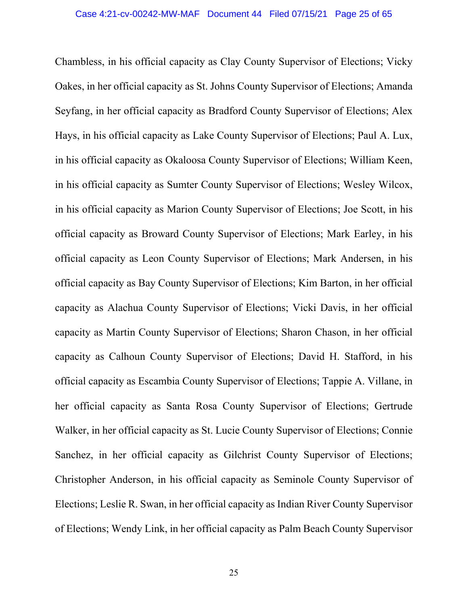Chambless, in his official capacity as Clay County Supervisor of Elections; Vicky Oakes, in her official capacity as St. Johns County Supervisor of Elections; Amanda Seyfang, in her official capacity as Bradford County Supervisor of Elections; Alex Hays, in his official capacity as Lake County Supervisor of Elections; Paul A. Lux, in his official capacity as Okaloosa County Supervisor of Elections; William Keen, in his official capacity as Sumter County Supervisor of Elections; Wesley Wilcox, in his official capacity as Marion County Supervisor of Elections; Joe Scott, in his official capacity as Broward County Supervisor of Elections; Mark Earley, in his official capacity as Leon County Supervisor of Elections; Mark Andersen, in his official capacity as Bay County Supervisor of Elections; Kim Barton, in her official capacity as Alachua County Supervisor of Elections; Vicki Davis, in her official capacity as Martin County Supervisor of Elections; Sharon Chason, in her official capacity as Calhoun County Supervisor of Elections; David H. Stafford, in his official capacity as Escambia County Supervisor of Elections; Tappie A. Villane, in her official capacity as Santa Rosa County Supervisor of Elections; Gertrude Walker, in her official capacity as St. Lucie County Supervisor of Elections; Connie Sanchez, in her official capacity as Gilchrist County Supervisor of Elections; Christopher Anderson, in his official capacity as Seminole County Supervisor of Elections; Leslie R. Swan, in her official capacity as Indian River County Supervisor of Elections; Wendy Link, in her official capacity as Palm Beach County Supervisor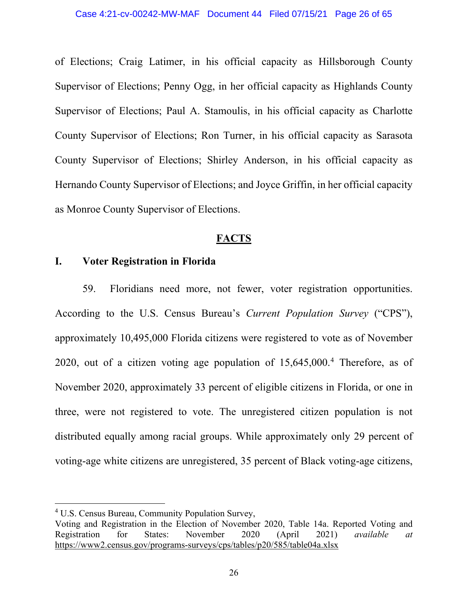of Elections; Craig Latimer, in his official capacity as Hillsborough County Supervisor of Elections; Penny Ogg, in her official capacity as Highlands County Supervisor of Elections; Paul A. Stamoulis, in his official capacity as Charlotte County Supervisor of Elections; Ron Turner, in his official capacity as Sarasota County Supervisor of Elections; Shirley Anderson, in his official capacity as Hernando County Supervisor of Elections; and Joyce Griffin, in her official capacity as Monroe County Supervisor of Elections.

## **FACTS**

## **I. Voter Registration in Florida**

59. Floridians need more, not fewer, voter registration opportunities. According to the U.S. Census Bureau's *Current Population Survey* ("CPS"), approximately 10,495,000 Florida citizens were registered to vote as of November 2020, out of a citizen voting age population of  $15,645,000$  $15,645,000$  $15,645,000$ .<sup>4</sup> Therefore, as of November 2020, approximately 33 percent of eligible citizens in Florida, or one in three, were not registered to vote. The unregistered citizen population is not distributed equally among racial groups. While approximately only 29 percent of voting-age white citizens are unregistered, 35 percent of Black voting-age citizens,

<span id="page-25-0"></span><sup>4</sup> U.S. Census Bureau, Community Population Survey,

Voting and Registration in the Election of November 2020, Table 14a. Reported Voting and<br>Registration for States: November 2020 (April 2021) available at Registration for States: November 2020 (April 2021) *available at* https://www2.census.gov/programs-surveys/cps/tables/p20/585/table04a.xlsx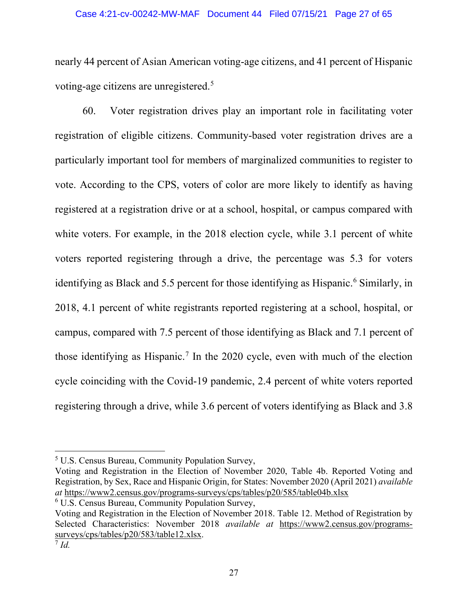nearly 44 percent of Asian American voting-age citizens, and 41 percent of Hispanic voting-age citizens are unregistered.[5](#page-26-0)

60. Voter registration drives play an important role in facilitating voter registration of eligible citizens. Community-based voter registration drives are a particularly important tool for members of marginalized communities to register to vote. According to the CPS, voters of color are more likely to identify as having registered at a registration drive or at a school, hospital, or campus compared with white voters. For example, in the 2018 election cycle, while 3.1 percent of white voters reported registering through a drive, the percentage was 5.3 for voters identifying as Black and 5.5 percent for those identifying as Hispanic.<sup>[6](#page-26-1)</sup> Similarly, in 2018, 4.1 percent of white registrants reported registering at a school, hospital, or campus, compared with 7.5 percent of those identifying as Black and 7.1 percent of those identifying as Hispanic.[7](#page-26-2) In the 2020 cycle, even with much of the election cycle coinciding with the Covid-19 pandemic, 2.4 percent of white voters reported registering through a drive, while 3.6 percent of voters identifying as Black and 3.8

Voting and Registration in the Election of November 2020, Table 4b. Reported Voting and Registration, by Sex, Race and Hispanic Origin, for States: November 2020 (April 2021) *available at* https://www2.census.gov/programs-surveys/cps/tables/p20/585/table04b.xlsx <sup>6</sup> U.S. Census Bureau, Community Population Survey,

<span id="page-26-0"></span><sup>5</sup> U.S. Census Bureau, Community Population Survey,

<span id="page-26-2"></span><span id="page-26-1"></span>Voting and Registration in the Election of November 2018. Table 12. Method of Registration by Selected Characteristics: November 2018 *available at* https://www2.census.gov/programssurveys/cps/tables/p20/583/table12.xlsx.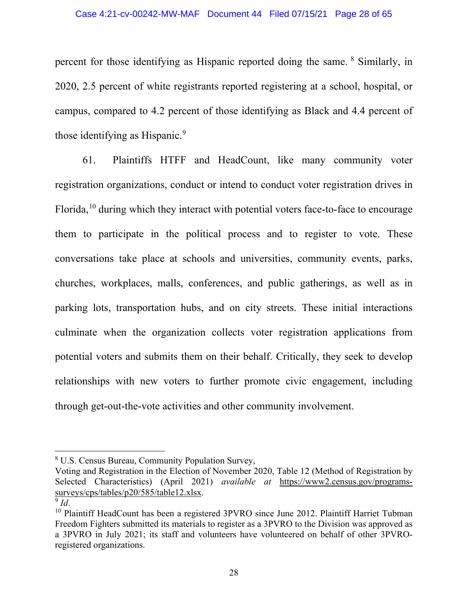percent for those identifying as Hispanic reported doing the same. [8](#page-27-0) Similarly, in 2020, 2.5 percent of white registrants reported registering at a school, hospital, or campus, compared to 4.2 percent of those identifying as Black and 4.4 percent of those identifying as Hispanic.<sup>[9](#page-27-1)</sup>

61. Plaintiffs HTFF and HeadCount, like many community voter registration organizations, conduct or intend to conduct voter registration drives in Florida,<sup>[10](#page-27-2)</sup> during which they interact with potential voters face-to-face to encourage them to participate in the political process and to register to vote. These conversations take place at schools and universities, community events, parks, churches, workplaces, malls, conferences, and public gatherings, as well as in parking lots, transportation hubs, and on city streets. These initial interactions culminate when the organization collects voter registration applications from potential voters and submits them on their behalf. Critically, they seek to develop relationships with new voters to further promote civic engagement, including through get-out-the-vote activities and other community involvement.

<span id="page-27-0"></span><sup>8</sup> U.S. Census Bureau, Community Population Survey,

Voting and Registration in the Election of November 2020, Table 12 (Method of Registration by Selected Characteristics) (April 2021) *available at* https://www2.census.gov/programssurveys/cps/tables/p20/585/table12.xlsx.

<span id="page-27-1"></span> $9$  *Id.* 

<span id="page-27-2"></span><sup>&</sup>lt;sup>10</sup> Plaintiff HeadCount has been a registered 3PVRO since June 2012. Plaintiff Harriet Tubman Freedom Fighters submitted its materials to register as a 3PVRO to the Division was approved as a 3PVRO in July 2021; its staff and volunteers have volunteered on behalf of other 3PVROregistered organizations.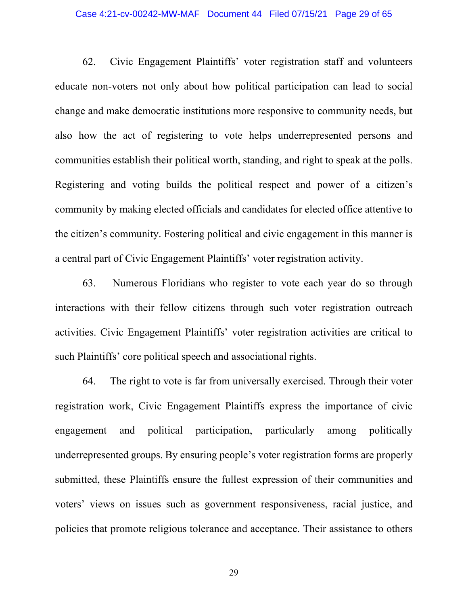### Case 4:21-cv-00242-MW-MAF Document 44 Filed 07/15/21 Page 29 of 65

62. Civic Engagement Plaintiffs' voter registration staff and volunteers educate non-voters not only about how political participation can lead to social change and make democratic institutions more responsive to community needs, but also how the act of registering to vote helps underrepresented persons and communities establish their political worth, standing, and right to speak at the polls. Registering and voting builds the political respect and power of a citizen's community by making elected officials and candidates for elected office attentive to the citizen's community. Fostering political and civic engagement in this manner is a central part of Civic Engagement Plaintiffs' voter registration activity.

63. Numerous Floridians who register to vote each year do so through interactions with their fellow citizens through such voter registration outreach activities. Civic Engagement Plaintiffs' voter registration activities are critical to such Plaintiffs' core political speech and associational rights.

64. The right to vote is far from universally exercised. Through their voter registration work, Civic Engagement Plaintiffs express the importance of civic engagement and political participation, particularly among politically underrepresented groups. By ensuring people's voter registration forms are properly submitted, these Plaintiffs ensure the fullest expression of their communities and voters' views on issues such as government responsiveness, racial justice, and policies that promote religious tolerance and acceptance. Their assistance to others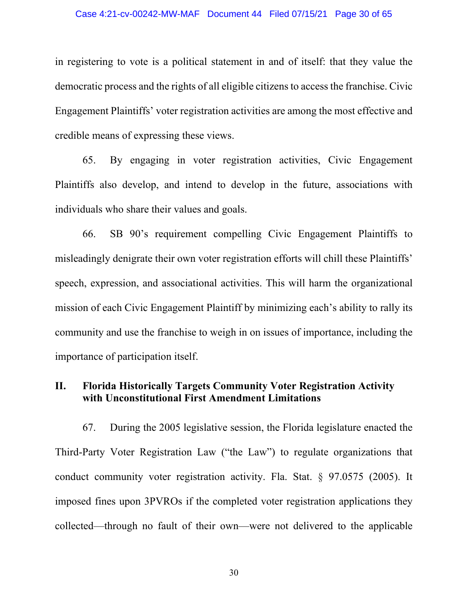### Case 4:21-cv-00242-MW-MAF Document 44 Filed 07/15/21 Page 30 of 65

in registering to vote is a political statement in and of itself: that they value the democratic process and the rights of all eligible citizens to access the franchise. Civic Engagement Plaintiffs' voter registration activities are among the most effective and credible means of expressing these views.

65. By engaging in voter registration activities, Civic Engagement Plaintiffs also develop, and intend to develop in the future, associations with individuals who share their values and goals.

66. SB 90's requirement compelling Civic Engagement Plaintiffs to misleadingly denigrate their own voter registration efforts will chill these Plaintiffs' speech, expression, and associational activities. This will harm the organizational mission of each Civic Engagement Plaintiff by minimizing each's ability to rally its community and use the franchise to weigh in on issues of importance, including the importance of participation itself.

# **II. Florida Historically Targets Community Voter Registration Activity with Unconstitutional First Amendment Limitations**

67. During the 2005 legislative session, the Florida legislature enacted the Third-Party Voter Registration Law ("the Law") to regulate organizations that conduct community voter registration activity. Fla. Stat. § 97.0575 (2005). It imposed fines upon 3PVROs if the completed voter registration applications they collected—through no fault of their own—were not delivered to the applicable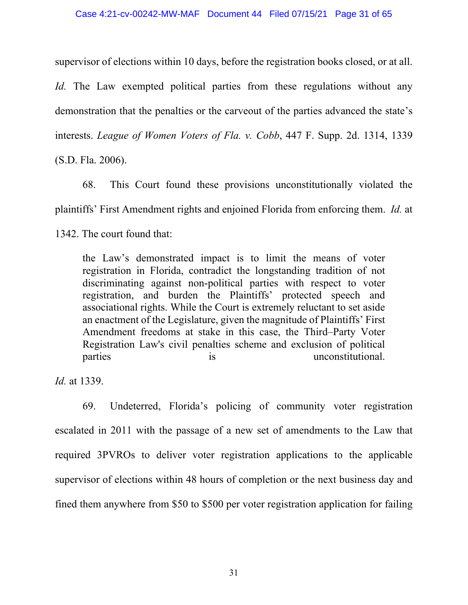supervisor of elections within 10 days, before the registration books closed, or at all. *Id.* The Law exempted political parties from these regulations without any demonstration that the penalties or the carveout of the parties advanced the state's interests. *League of Women Voters of Fla. v. Cobb*, 447 F. Supp. 2d. 1314, 1339 (S.D. Fla. 2006).

68. This Court found these provisions unconstitutionally violated the plaintiffs' First Amendment rights and enjoined Florida from enforcing them. *Id.* at 1342. The court found that:

the Law's demonstrated impact is to limit the means of voter registration in Florida, contradict the longstanding tradition of not discriminating against non-political parties with respect to voter registration, and burden the Plaintiffs' protected speech and associational rights. While the Court is extremely reluctant to set aside an enactment of the Legislature, given the magnitude of Plaintiffs' First Amendment freedoms at stake in this case, the Third–Party Voter Registration Law's civil penalties scheme and exclusion of political parties is is unconstitutional.

*Id.* at 1339.

69. Undeterred, Florida's policing of community voter registration escalated in 2011 with the passage of a new set of amendments to the Law that required 3PVROs to deliver voter registration applications to the applicable supervisor of elections within 48 hours of completion or the next business day and fined them anywhere from \$50 to \$500 per voter registration application for failing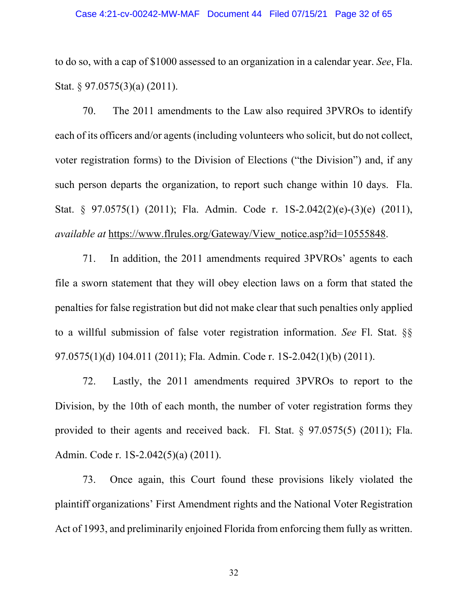to do so, with a cap of \$1000 assessed to an organization in a calendar year. *See*, Fla. Stat. § 97.0575(3)(a) (2011).

70. The 2011 amendments to the Law also required 3PVROs to identify each of its officers and/or agents(including volunteers who solicit, but do not collect, voter registration forms) to the Division of Elections ("the Division") and, if any such person departs the organization, to report such change within 10 days. Fla. Stat. § 97.0575(1) (2011); Fla. Admin. Code r. 1S-2.042(2)(e)-(3)(e) (2011), *available at https://www.flrules.org/Gateway/View notice.asp?id=10555848.* 

71. In addition, the 2011 amendments required 3PVROs' agents to each file a sworn statement that they will obey election laws on a form that stated the penalties for false registration but did not make clear that such penalties only applied to a willful submission of false voter registration information. *See* Fl. Stat. §§ 97.0575(1)(d) 104.011 (2011); Fla. Admin. Code r. 1S-2.042(1)(b) (2011).

72. Lastly, the 2011 amendments required 3PVROs to report to the Division, by the 10th of each month, the number of voter registration forms they provided to their agents and received back. Fl. Stat. § 97.0575(5) (2011); Fla. Admin. Code r. 1S-2.042(5)(a) (2011).

73. Once again, this Court found these provisions likely violated the plaintiff organizations' First Amendment rights and the National Voter Registration Act of 1993, and preliminarily enjoined Florida from enforcing them fully as written.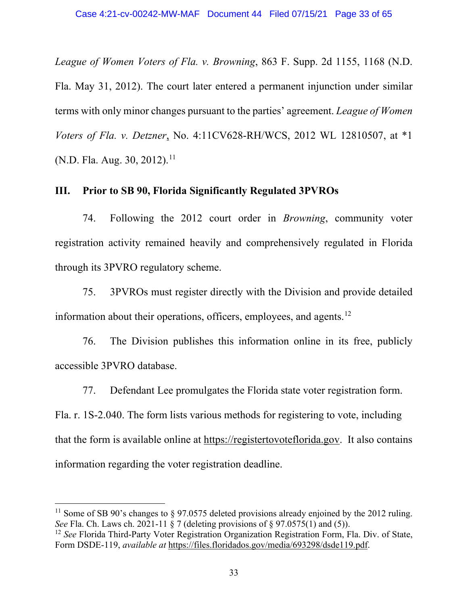*League of Women Voters of Fla. v. Browning*, 863 F. Supp. 2d 1155, 1168 (N.D. Fla. May 31, 2012). The court later entered a permanent injunction under similar terms with only minor changes pursuant to the parties' agreement. *League of Women Voters of Fla. v. Detzner*, No. 4:11CV628-RH/WCS, 2012 WL 12810507, at \*1 (N.D. Fla. Aug. 30, 2012).<sup>[11](#page-32-0)</sup>

# **III. Prior to SB 90, Florida Significantly Regulated 3PVROs**

74. Following the 2012 court order in *Browning*, community voter registration activity remained heavily and comprehensively regulated in Florida through its 3PVRO regulatory scheme.

75. 3PVROs must register directly with the Division and provide detailed information about their operations, officers, employees, and agents.<sup>[12](#page-32-1)</sup>

76. The Division publishes this information online in its free, publicly accessible 3PVRO database.

77. Defendant Lee promulgates the Florida state voter registration form. Fla. r. 1S-2.040. The form lists various methods for registering to vote, including that the form is available online at https://registertovoteflorida.gov. It also contains information regarding the voter registration deadline.

<span id="page-32-0"></span><sup>&</sup>lt;sup>11</sup> Some of SB 90's changes to  $\S$  97.0575 deleted provisions already enjoined by the 2012 ruling. *See* Fla. Ch. Laws ch. 2021-11  $\frac{8}{5}$  7 (deleting provisions of  $\frac{8}{5}$  97.0575(1) and (5)).

<span id="page-32-1"></span><sup>&</sup>lt;sup>12</sup> *See* Florida Third-Party Voter Registration Organization Registration Form, Fla. Div. of State, Form DSDE-119, *available at* https://files.floridados.gov/media/693298/dsde119.pdf.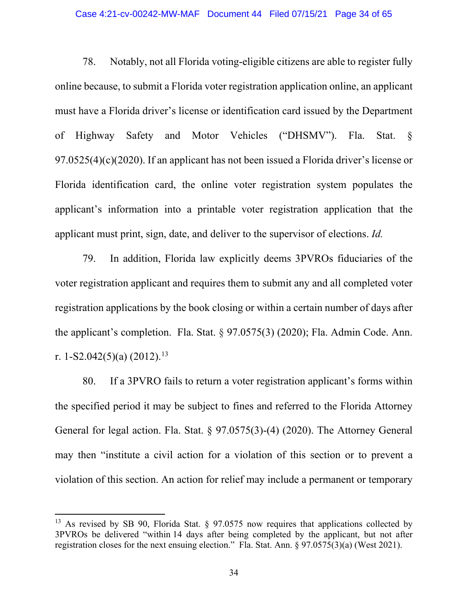### Case 4:21-cv-00242-MW-MAF Document 44 Filed 07/15/21 Page 34 of 65

78. Notably, not all Florida voting-eligible citizens are able to register fully online because, to submit a Florida voter registration application online, an applicant must have a Florida driver's license or identification card issued by the Department of Highway Safety and Motor Vehicles ("DHSMV"). Fla. Stat. § 97.0525(4)(c)(2020). If an applicant has not been issued a Florida driver's license or Florida identification card, the online voter registration system populates the applicant's information into a printable voter registration application that the applicant must print, sign, date, and deliver to the supervisor of elections. *Id.*

79. In addition, Florida law explicitly deems 3PVROs fiduciaries of the voter registration applicant and requires them to submit any and all completed voter registration applications by the book closing or within a certain number of days after the applicant's completion. Fla. Stat. § 97.0575(3) (2020); Fla. Admin Code. Ann. r. 1-S2.042(5)(a) (2012). [13](#page-33-0)

80. If a 3PVRO fails to return a voter registration applicant's forms within the specified period it may be subject to fines and referred to the Florida Attorney General for legal action. Fla. Stat. § 97.0575(3)-(4) (2020). The Attorney General may then "institute a civil action for a violation of this section or to prevent a violation of this section. An action for relief may include a permanent or temporary

<span id="page-33-0"></span><sup>&</sup>lt;sup>13</sup> As revised by SB 90, Florida Stat. § 97.0575 now requires that applications collected by 3PVROs be delivered "within 14 days after being completed by the applicant, but not after registration closes for the next ensuing election." Fla. Stat. Ann. § 97.0575(3)(a) (West 2021).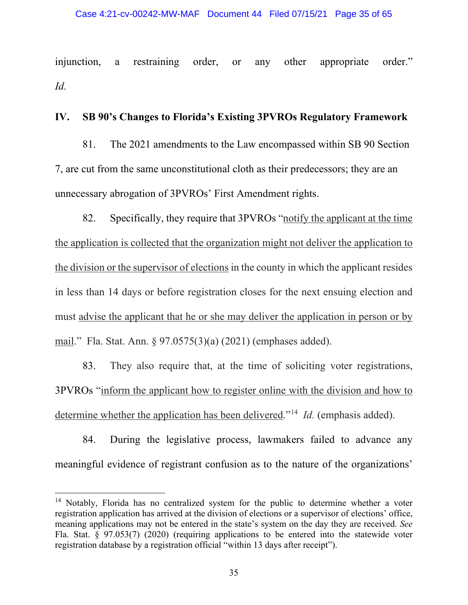injunction, a restraining order, or any other appropriate order." *Id.*

# **IV. SB 90's Changes to Florida's Existing 3PVROs Regulatory Framework**

81. The 2021 amendments to the Law encompassed within SB 90 Section 7, are cut from the same unconstitutional cloth as their predecessors; they are an unnecessary abrogation of 3PVROs' First Amendment rights.

82. Specifically, they require that 3PVROs "notify the applicant at the time the application is collected that the organization might not deliver the application to the division or the supervisor of elections in the county in which the applicant resides in less than 14 days or before registration closes for the next ensuing election and must advise the applicant that he or she may deliver the application in person or by mail." Fla. Stat. Ann. § 97.0575(3)(a) (2021) (emphases added).

83. They also require that, at the time of soliciting voter registrations, 3PVROs "inform the applicant how to register online with the division and how to determine whether the application has been delivered."[14](#page-34-0) *Id.* (emphasis added).

84. During the legislative process, lawmakers failed to advance any meaningful evidence of registrant confusion as to the nature of the organizations'

<span id="page-34-0"></span><sup>&</sup>lt;sup>14</sup> Notably, Florida has no centralized system for the public to determine whether a voter registration application has arrived at the division of elections or a supervisor of elections' office, meaning applications may not be entered in the state's system on the day they are received. *See*  Fla. Stat. § 97.053(7) (2020) (requiring applications to be entered into the statewide voter registration database by a registration official "within 13 days after receipt").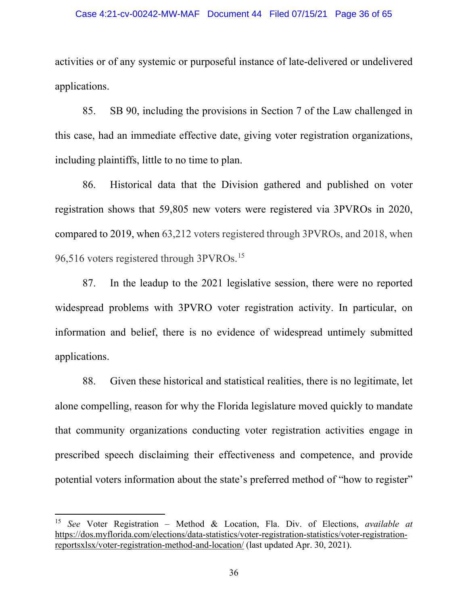### Case 4:21-cv-00242-MW-MAF Document 44 Filed 07/15/21 Page 36 of 65

activities or of any systemic or purposeful instance of late-delivered or undelivered applications.

85. SB 90, including the provisions in Section 7 of the Law challenged in this case, had an immediate effective date, giving voter registration organizations, including plaintiffs, little to no time to plan.

86. Historical data that the Division gathered and published on voter registration shows that 59,805 new voters were registered via 3PVROs in 2020, compared to 2019, when 63,212 voters registered through 3PVROs, and 2018, when 96,516 voters registered through 3PVROs. [15](#page-35-0)

87. In the leadup to the 2021 legislative session, there were no reported widespread problems with 3PVRO voter registration activity. In particular, on information and belief, there is no evidence of widespread untimely submitted applications.

88. Given these historical and statistical realities, there is no legitimate, let alone compelling, reason for why the Florida legislature moved quickly to mandate that community organizations conducting voter registration activities engage in prescribed speech disclaiming their effectiveness and competence, and provide potential voters information about the state's preferred method of "how to register"

<span id="page-35-0"></span><sup>15</sup> *See* Voter Registration – Method & Location, Fla. Div. of Elections, *available at* https://dos.myflorida.com/elections/data-statistics/voter-registration-statistics/voter-registrationreportsxlsx/voter-registration-method-and-location/ (last updated Apr. 30, 2021).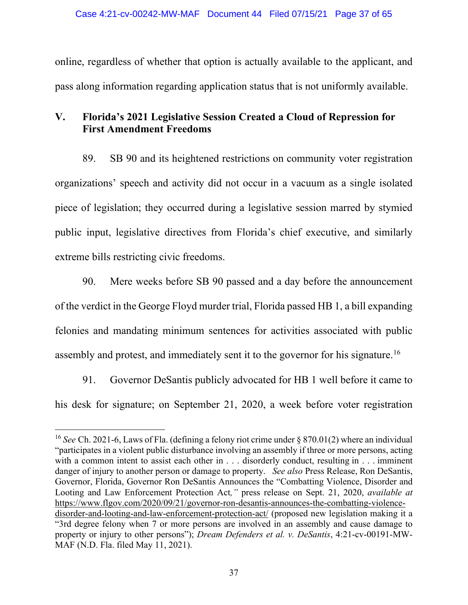online, regardless of whether that option is actually available to the applicant, and pass along information regarding application status that is not uniformly available.

# **V. Florida's 2021 Legislative Session Created a Cloud of Repression for First Amendment Freedoms**

89. SB 90 and its heightened restrictions on community voter registration organizations' speech and activity did not occur in a vacuum as a single isolated piece of legislation; they occurred during a legislative session marred by stymied public input, legislative directives from Florida's chief executive, and similarly extreme bills restricting civic freedoms.

90. Mere weeks before SB 90 passed and a day before the announcement of the verdict in the George Floyd murder trial, Florida passed HB 1, a bill expanding felonies and mandating minimum sentences for activities associated with public assembly and protest, and immediately sent it to the governor for his signature.[16](#page-36-0)

91. Governor DeSantis publicly advocated for HB 1 well before it came to his desk for signature; on September 21, 2020, a week before voter registration

<span id="page-36-0"></span><sup>16</sup> *See* Ch. 2021-6, Laws of Fla. (defining a felony riot crime under § 870.01(2) where an individual "participates in a violent public disturbance involving an assembly if three or more persons, acting with a common intent to assist each other in . . . disorderly conduct, resulting in . . . imminent danger of injury to another person or damage to property. *See also* Press Release, Ron DeSantis, Governor, Florida, Governor Ron DeSantis Announces the "Combatting Violence, Disorder and Looting and Law Enforcement Protection Act*,"* press release on Sept. 21, 2020, *available at*  [https://www.flgov.com/2020/09/21/governor-ron-desantis-announces-the-combatting-violence](https://www.flgov.com/2020/09/21/governor-ron-desantis-announces-the-combatting-violence-disorder-and-looting-and-law-enforcement-protection-act/)[disorder-and-looting-and-law-enforcement-protection-act/](https://www.flgov.com/2020/09/21/governor-ron-desantis-announces-the-combatting-violence-disorder-and-looting-and-law-enforcement-protection-act/) (proposed new legislation making it a "3rd degree felony when 7 or more persons are involved in an assembly and cause damage to property or injury to other persons"); *Dream Defenders et al. v. DeSantis*, 4:21-cv-00191-MW-MAF (N.D. Fla. filed May 11, 2021).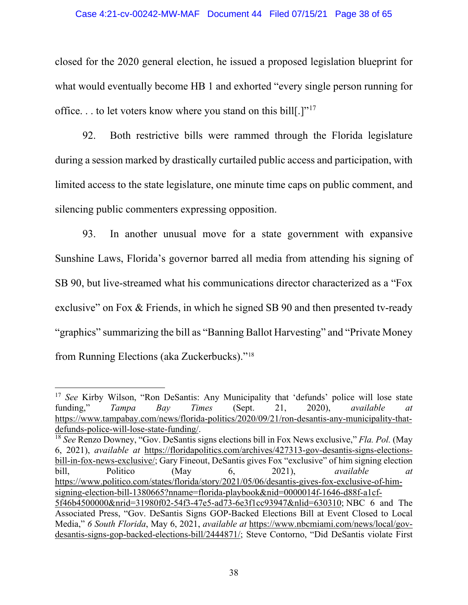closed for the 2020 general election, he issued a proposed legislation blueprint for what would eventually become HB 1 and exhorted "every single person running for office. . . to let voters know where you stand on this bill[.]"[17](#page-37-0)

92. Both restrictive bills were rammed through the Florida legislature during a session marked by drastically curtailed public access and participation, with limited access to the state legislature, one minute time caps on public comment, and silencing public commenters expressing opposition.

93. In another unusual move for a state government with expansive Sunshine Laws, Florida's governor barred all media from attending his signing of SB 90, but live-streamed what his communications director characterized as a "Fox exclusive" on Fox & Friends, in which he signed SB 90 and then presented tv-ready "graphics" summarizing the bill as "Banning Ballot Harvesting" and "Private Money from Running Elections (aka Zuckerbucks)."[18](#page-37-1)

<span id="page-37-0"></span><sup>&</sup>lt;sup>17</sup> *See* Kirby Wilson, "Ron DeSantis: Any Municipality that 'defunds' police will lose state funding," *Tampa Bay Times* (Sept. 21, 2020), *available at* https://www.tampabay.com/news/florida-politics/2020/09/21/ron-desantis-any-municipality-thatdefunds-police-will-lose-state-funding/.

<span id="page-37-1"></span><sup>18</sup> *See* Renzo Downey, "Gov. DeSantis signs elections bill in Fox News exclusive," *Fla. Pol.* (May 6, 2021), *available at* [https://floridapolitics.com/archives/427313-gov-desantis-signs-elections](https://floridapolitics.com/archives/427313-gov-desantis-signs-elections-bill-in-fox-news-exclusive/)[bill-in-fox-news-exclusive/;](https://floridapolitics.com/archives/427313-gov-desantis-signs-elections-bill-in-fox-news-exclusive/) Gary Fineout, DeSantis gives Fox "exclusive" of him signing election bill, Politico (May 6, 2021), *available at*  [https://www.politico.com/states/florida/story/2021/05/06/desantis-gives-fox-exclusive-of-him](https://www.politico.com/states/florida/story/2021/05/06/desantis-gives-fox-exclusive-of-him-signing-election-bill-1380665?nname=florida-playbook&nid=0000014f-1646-d88f-a1cf-5f46b4500000&nrid=31980f02-54f3-47e5-ad73-6e3f1cc93947&nlid=630310)[signing-election-bill-1380665?nname=florida-playbook&nid=0000014f-1646-d88f-a1cf-](https://www.politico.com/states/florida/story/2021/05/06/desantis-gives-fox-exclusive-of-him-signing-election-bill-1380665?nname=florida-playbook&nid=0000014f-1646-d88f-a1cf-5f46b4500000&nrid=31980f02-54f3-47e5-ad73-6e3f1cc93947&nlid=630310)[5f46b4500000&nrid=31980f02-54f3-47e5-ad73-6e3f1cc93947&nlid=630310;](https://www.politico.com/states/florida/story/2021/05/06/desantis-gives-fox-exclusive-of-him-signing-election-bill-1380665?nname=florida-playbook&nid=0000014f-1646-d88f-a1cf-5f46b4500000&nrid=31980f02-54f3-47e5-ad73-6e3f1cc93947&nlid=630310) NBC 6 and The Associated Press, "Gov. DeSantis Signs GOP-Backed Elections Bill at Event Closed to Local Media," *6 South Florida*, May 6, 2021, *available at* [https://www.nbcmiami.com/news/local/gov](https://www.nbcmiami.com/news/local/gov-desantis-signs-gop-backed-elections-bill/2444871/)[desantis-signs-gop-backed-elections-bill/2444871/;](https://www.nbcmiami.com/news/local/gov-desantis-signs-gop-backed-elections-bill/2444871/) Steve Contorno, "Did DeSantis violate First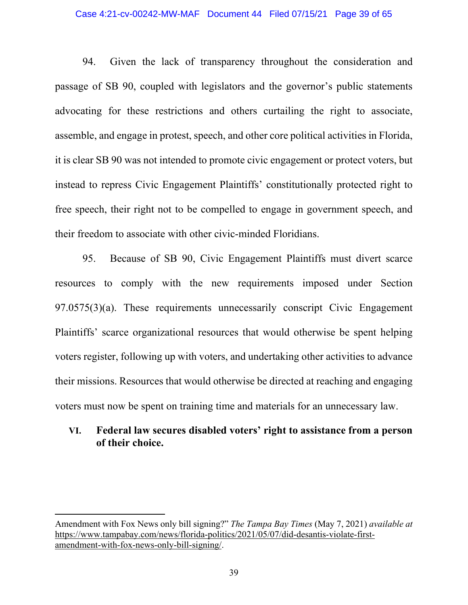### Case 4:21-cv-00242-MW-MAF Document 44 Filed 07/15/21 Page 39 of 65

94. Given the lack of transparency throughout the consideration and passage of SB 90, coupled with legislators and the governor's public statements advocating for these restrictions and others curtailing the right to associate, assemble, and engage in protest, speech, and other core political activities in Florida, it is clear SB 90 was not intended to promote civic engagement or protect voters, but instead to repress Civic Engagement Plaintiffs' constitutionally protected right to free speech, their right not to be compelled to engage in government speech, and their freedom to associate with other civic-minded Floridians.

95. Because of SB 90, Civic Engagement Plaintiffs must divert scarce resources to comply with the new requirements imposed under Section 97.0575(3)(a). These requirements unnecessarily conscript Civic Engagement Plaintiffs' scarce organizational resources that would otherwise be spent helping voters register, following up with voters, and undertaking other activities to advance their missions. Resources that would otherwise be directed at reaching and engaging voters must now be spent on training time and materials for an unnecessary law.

# **VI. Federal law secures disabled voters' right to assistance from a person of their choice.**

Amendment with Fox News only bill signing?" *The Tampa Bay Times* (May 7, 2021) *available at*  https://www.tampabay.com/news/florida-politics/2021/05/07/did-desantis-violate-firstamendment-with-fox-news-only-bill-signing/.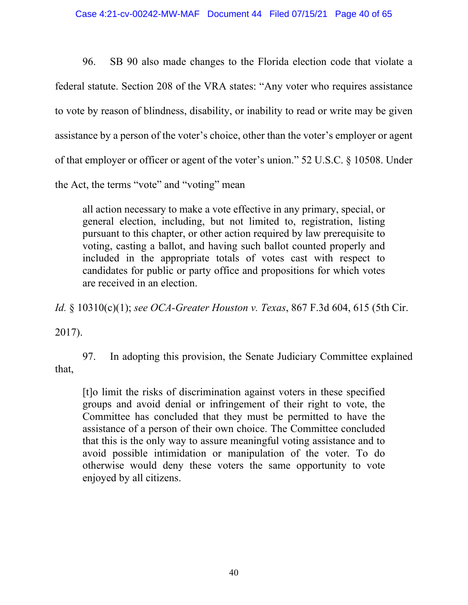96. SB 90 also made changes to the Florida election code that violate a federal statute. Section 208 of the VRA states: "Any voter who requires assistance to vote by reason of blindness, disability, or inability to read or write may be given assistance by a person of the voter's choice, other than the voter's employer or agent of that employer or officer or agent of the voter's union." 52 U.S.C. § 10508. Under the Act, the terms "vote" and "voting" mean

all action necessary to make a vote effective in any primary, special, or general election, including, but not limited to, registration, listing pursuant to this chapter, or other action required by law prerequisite to voting, casting a ballot, and having such ballot counted properly and included in the appropriate totals of votes cast with respect to candidates for public or party office and propositions for which votes are received in an election.

*Id.* § 10310(c)(1); *see OCA-Greater Houston v. Texas*, 867 F.3d 604, 615 (5th Cir.

2017).

97. In adopting this provision, the Senate Judiciary Committee explained that,

[t]o limit the risks of discrimination against voters in these specified groups and avoid denial or infringement of their right to vote, the Committee has concluded that they must be permitted to have the assistance of a person of their own choice. The Committee concluded that this is the only way to assure meaningful voting assistance and to avoid possible intimidation or manipulation of the voter. To do otherwise would deny these voters the same opportunity to vote enjoyed by all citizens.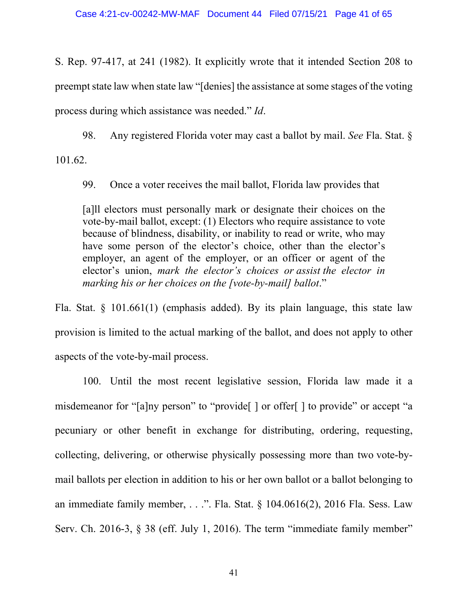S. Rep. 97-417, at 241 (1982). It explicitly wrote that it intended Section 208 to preempt state law when state law "[denies] the assistance at some stages of the voting process during which assistance was needed." *Id*.

98. Any registered Florida voter may cast a ballot by mail. *See* Fla. Stat. §

101.62.

99. Once a voter receives the mail ballot, Florida law provides that

[a]ll electors must personally mark or designate their choices on the vote-by-mail ballot, except: (1) Electors who require assistance to vote because of blindness, disability, or inability to read or write, who may have some person of the elector's choice, other than the elector's employer, an agent of the employer, or an officer or agent of the elector's union, *mark the elector's choices or assist the elector in marking his or her choices on the [vote-by-mail] ballot*."

Fla. Stat.  $\S$  101.661(1) (emphasis added). By its plain language, this state law provision is limited to the actual marking of the ballot, and does not apply to other aspects of the vote-by-mail process.

100. Until the most recent legislative session, Florida law made it a misdemeanor for "[a]ny person" to "provide[] or offer[] to provide" or accept "a pecuniary or other benefit in exchange for distributing, ordering, requesting, collecting, delivering, or otherwise physically possessing more than two vote-bymail ballots per election in addition to his or her own ballot or a ballot belonging to an immediate family member, . . .". Fla. Stat.  $\S$  104.0616(2), 2016 Fla. Sess. Law Serv. Ch. 2016-3, § 38 (eff. July 1, 2016). The term "immediate family member"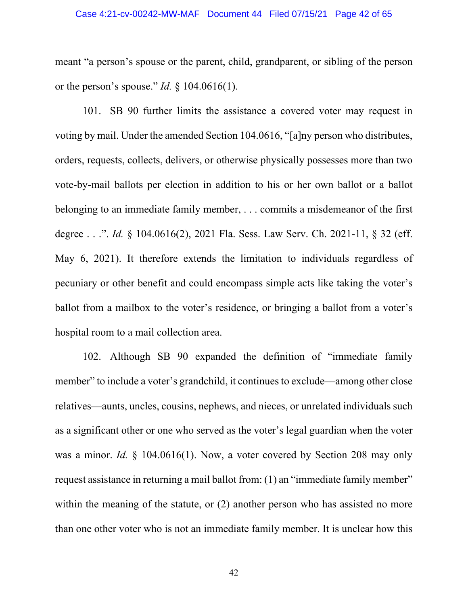meant "a person's spouse or the parent, child, grandparent, or sibling of the person or the person's spouse." *Id.* § 104.0616(1).

101. SB 90 further limits the assistance a covered voter may request in voting by mail. Under the amended Section 104.0616, "[a]ny person who distributes, orders, requests, collects, delivers, or otherwise physically possesses more than two vote-by-mail ballots per election in addition to his or her own ballot or a ballot belonging to an immediate family member, . . . commits a misdemeanor of the first degree . . .". *Id.* § 104.0616(2), 2021 Fla. Sess. Law Serv. Ch. 2021-11, § 32 (eff. May 6, 2021). It therefore extends the limitation to individuals regardless of pecuniary or other benefit and could encompass simple acts like taking the voter's ballot from a mailbox to the voter's residence, or bringing a ballot from a voter's hospital room to a mail collection area.

102. Although SB 90 expanded the definition of "immediate family member" to include a voter's grandchild, it continues to exclude—among other close relatives—aunts, uncles, cousins, nephews, and nieces, or unrelated individuals such as a significant other or one who served as the voter's legal guardian when the voter was a minor. *Id.* § 104.0616(1). Now, a voter covered by Section 208 may only request assistance in returning a mail ballot from: (1) an "immediate family member" within the meaning of the statute, or (2) another person who has assisted no more than one other voter who is not an immediate family member. It is unclear how this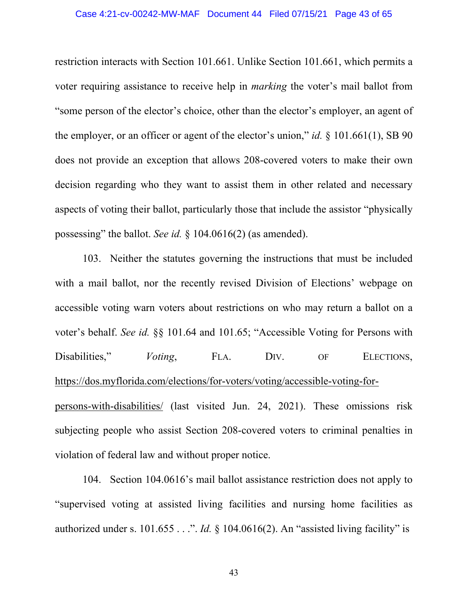restriction interacts with Section 101.661. Unlike Section 101.661, which permits a voter requiring assistance to receive help in *marking* the voter's mail ballot from "some person of the elector's choice, other than the elector's employer, an agent of the employer, or an officer or agent of the elector's union," *id.* § 101.661(1), SB 90 does not provide an exception that allows 208-covered voters to make their own decision regarding who they want to assist them in other related and necessary aspects of voting their ballot, particularly those that include the assistor "physically possessing" the ballot. *See id.* § 104.0616(2) (as amended).

103. Neither the statutes governing the instructions that must be included with a mail ballot, nor the recently revised Division of Elections' webpage on accessible voting warn voters about restrictions on who may return a ballot on a voter's behalf. *See id.* §§ 101.64 and 101.65; "Accessible Voting for Persons with Disabilities," *Voting*, FLA. DIV. OF ELECTIONS, [https://dos.myflorida.com/elections/for-voters/voting/accessible-voting-for](https://dos.myflorida.com/elections/for-voters/voting/accessible-voting-for-persons-with-disabilities/)[persons-with-disabilities/](https://dos.myflorida.com/elections/for-voters/voting/accessible-voting-for-persons-with-disabilities/) (last visited Jun. 24, 2021). These omissions risk subjecting people who assist Section 208-covered voters to criminal penalties in violation of federal law and without proper notice.

104. Section 104.0616's mail ballot assistance restriction does not apply to "supervised voting at assisted living facilities and nursing home facilities as authorized under s. 101.655 . . .". *Id.* § 104.0616(2). An "assisted living facility" is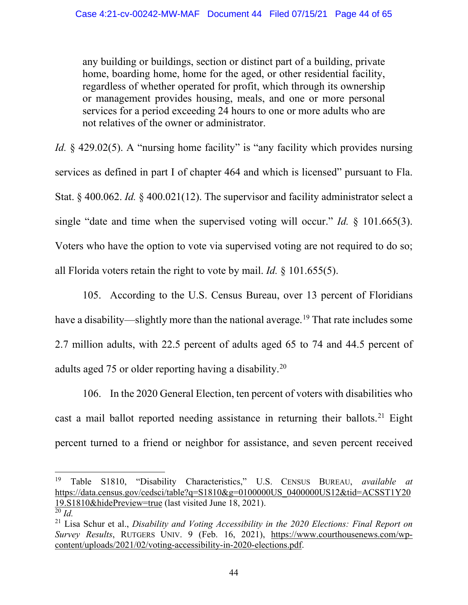any building or buildings, section or distinct part of a building, private home, boarding home, home for the aged, or other residential facility, regardless of whether operated for profit, which through its ownership or management provides housing, meals, and one or more personal services for a period exceeding 24 hours to one or more adults who are not relatives of the owner or administrator.

*Id.* § 429.02(5). A "nursing home facility" is "any facility which provides nursing services as defined in part I of chapter 464 and which is licensed" pursuant to Fla. Stat. § 400.062. *Id.* § 400.021(12). The supervisor and facility administrator select a single "date and time when the supervised voting will occur." *Id.* § 101.665(3). Voters who have the option to vote via supervised voting are not required to do so; all Florida voters retain the right to vote by mail. *Id.* § 101.655(5).

105. According to the U.S. Census Bureau, over 13 percent of Floridians have a disability—slightly more than the national average.<sup>[19](#page-43-0)</sup> That rate includes some 2.7 million adults, with 22.5 percent of adults aged 65 to 74 and 44.5 percent of adults aged 75 or older reporting having a disability.[20](#page-43-1)

106. In the 2020 General Election, ten percent of voters with disabilities who cast a mail ballot reported needing assistance in returning their ballots.<sup>[21](#page-43-2)</sup> Eight percent turned to a friend or neighbor for assistance, and seven percent received

<span id="page-43-0"></span><sup>19</sup> Table S1810, "Disability Characteristics," U.S. CENSUS BUREAU, *available at*  [https://data.census.gov/cedsci/table?q=S1810&g=0100000US\\_0400000US12&tid=ACSST1Y20](https://data.census.gov/cedsci/table?q=S1810&g=0100000US_0400000US12&tid=ACSST1Y2019.S1810&hidePreview=true) [19.S1810&hidePreview=true](https://data.census.gov/cedsci/table?q=S1810&g=0100000US_0400000US12&tid=ACSST1Y2019.S1810&hidePreview=true) (last visited June 18, 2021).

<span id="page-43-1"></span> $\overline{^{20}}$  *Id.* 

<span id="page-43-2"></span><sup>21</sup> Lisa Schur et al., *Disability and Voting Accessibility in the 2020 Elections: Final Report on Survey Results*, RUTGERS UNIV. 9 (Feb. 16, 2021), [https://www.courthousenews.com/wp](https://www.courthousenews.com/wp-content/uploads/2021/02/voting-accessibility-in-2020-elections.pdf)[content/uploads/2021/02/voting-accessibility-in-2020-elections.pdf.](https://www.courthousenews.com/wp-content/uploads/2021/02/voting-accessibility-in-2020-elections.pdf)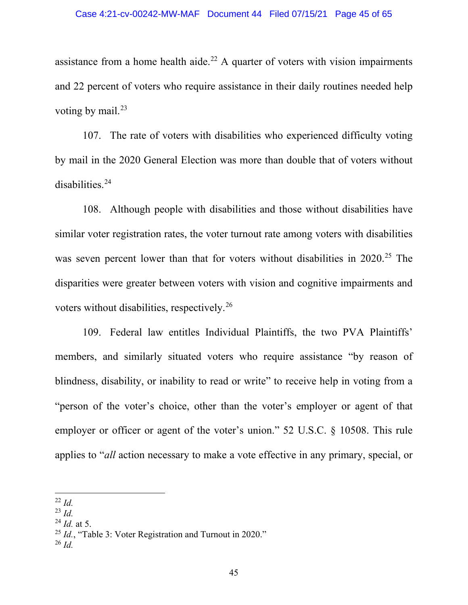assistance from a home health aide.<sup>[22](#page-44-0)</sup> A quarter of voters with vision impairments and 22 percent of voters who require assistance in their daily routines needed help voting by mail. $^{23}$  $^{23}$  $^{23}$ 

107. The rate of voters with disabilities who experienced difficulty voting by mail in the 2020 General Election was more than double that of voters without disabilities.[24](#page-44-2)

108. Although people with disabilities and those without disabilities have similar voter registration rates, the voter turnout rate among voters with disabilities was seven percent lower than that for voters without disabilities in 2020.<sup>[25](#page-44-3)</sup> The disparities were greater between voters with vision and cognitive impairments and voters without disabilities, respectively.[26](#page-44-4)

109. Federal law entitles Individual Plaintiffs, the two PVA Plaintiffs' members, and similarly situated voters who require assistance "by reason of blindness, disability, or inability to read or write" to receive help in voting from a "person of the voter's choice, other than the voter's employer or agent of that employer or officer or agent of the voter's union." 52 U.S.C. § 10508. This rule applies to "*all* action necessary to make a vote effective in any primary, special, or

<span id="page-44-0"></span><sup>22</sup> *Id.*

<span id="page-44-1"></span><sup>23</sup> *Id.*

<span id="page-44-2"></span><sup>24</sup> *Id.* at 5.

<span id="page-44-3"></span><sup>25</sup> *Id.*, "Table 3: Voter Registration and Turnout in 2020."

<span id="page-44-4"></span><sup>26</sup> *Id.*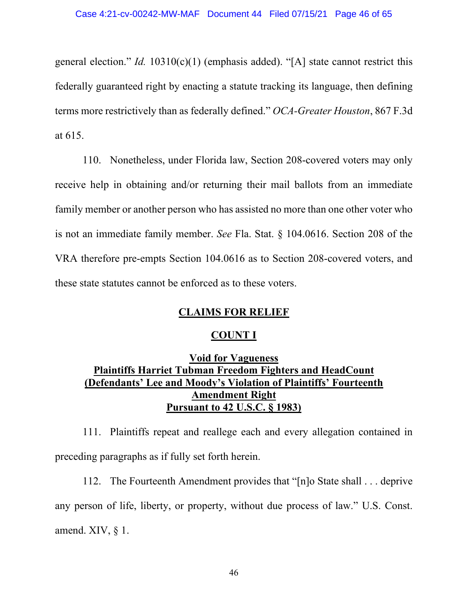general election." *Id.* 10310(c)(1) (emphasis added). "[A] state cannot restrict this federally guaranteed right by enacting a statute tracking its language, then defining terms more restrictively than as federally defined." *OCA-Greater Houston*, 867 F.3d at 615.

110. Nonetheless, under Florida law, Section 208-covered voters may only receive help in obtaining and/or returning their mail ballots from an immediate family member or another person who has assisted no more than one other voter who is not an immediate family member. *See* Fla. Stat. § 104.0616. Section 208 of the VRA therefore pre-empts Section 104.0616 as to Section 208-covered voters, and these state statutes cannot be enforced as to these voters.

# **CLAIMS FOR RELIEF**

## **COUNT I**

# **Void for Vagueness Plaintiffs Harriet Tubman Freedom Fighters and HeadCount (Defendants' Lee and Moody's Violation of Plaintiffs' Fourteenth Amendment Right Pursuant to 42 U.S.C. § 1983)**

111. Plaintiffs repeat and reallege each and every allegation contained in preceding paragraphs as if fully set forth herein.

112. The Fourteenth Amendment provides that "[n]o State shall . . . deprive any person of life, liberty, or property, without due process of law." U.S. Const. amend. XIV, § 1.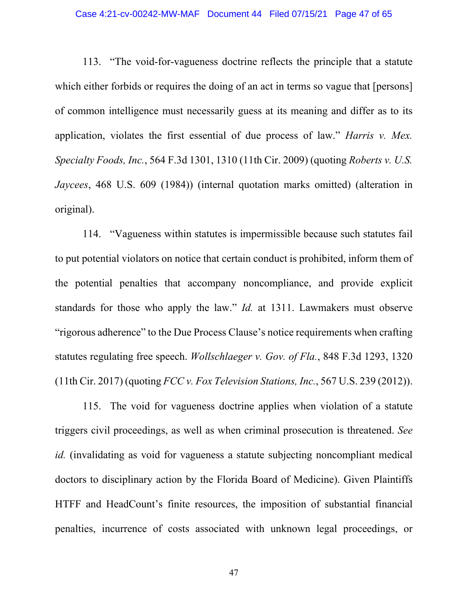## Case 4:21-cv-00242-MW-MAF Document 44 Filed 07/15/21 Page 47 of 65

113. "The void-for-vagueness doctrine reflects the principle that a statute which either forbids or requires the doing of an act in terms so vague that [persons] of common intelligence must necessarily guess at its meaning and differ as to its application, violates the first essential of due process of law." *Harris v. Mex. Specialty Foods, Inc.*, 564 F.3d 1301, 1310 (11th Cir. 2009) (quoting *Roberts v. U.S. Jaycees*, 468 U.S. 609 (1984)) (internal quotation marks omitted) (alteration in original).

114. "Vagueness within statutes is impermissible because such statutes fail to put potential violators on notice that certain conduct is prohibited, inform them of the potential penalties that accompany noncompliance, and provide explicit standards for those who apply the law." *Id.* at 1311. Lawmakers must observe "rigorous adherence" to the Due Process Clause's notice requirements when crafting statutes regulating free speech. *Wollschlaeger v. Gov. of Fla.*, 848 F.3d 1293, 1320 (11th Cir. 2017) (quoting *FCC v. Fox Television Stations, Inc.*, 567 U.S. 239 (2012)).

115. The void for vagueness doctrine applies when violation of a statute triggers civil proceedings, as well as when criminal prosecution is threatened. *See id.* (invalidating as void for vagueness a statute subjecting noncompliant medical doctors to disciplinary action by the Florida Board of Medicine). Given Plaintiffs HTFF and HeadCount's finite resources, the imposition of substantial financial penalties, incurrence of costs associated with unknown legal proceedings, or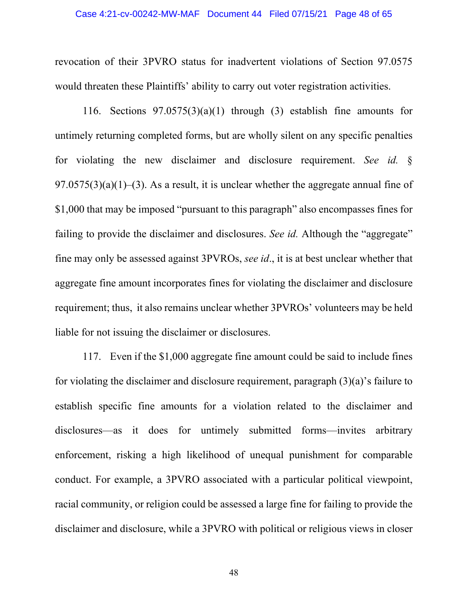revocation of their 3PVRO status for inadvertent violations of Section 97.0575 would threaten these Plaintiffs' ability to carry out voter registration activities.

116. Sections  $97.0575(3)(a)(1)$  through (3) establish fine amounts for untimely returning completed forms, but are wholly silent on any specific penalties for violating the new disclaimer and disclosure requirement. *See id.* §  $97.0575(3)(a)(1)–(3)$ . As a result, it is unclear whether the aggregate annual fine of \$1,000 that may be imposed "pursuant to this paragraph" also encompasses fines for failing to provide the disclaimer and disclosures. *See id.* Although the "aggregate" fine may only be assessed against 3PVROs, *see id*., it is at best unclear whether that aggregate fine amount incorporates fines for violating the disclaimer and disclosure requirement; thus, it also remains unclear whether 3PVROs' volunteers may be held liable for not issuing the disclaimer or disclosures.

117. Even if the \$1,000 aggregate fine amount could be said to include fines for violating the disclaimer and disclosure requirement, paragraph (3)(a)'s failure to establish specific fine amounts for a violation related to the disclaimer and disclosures—as it does for untimely submitted forms—invites arbitrary enforcement, risking a high likelihood of unequal punishment for comparable conduct. For example, a 3PVRO associated with a particular political viewpoint, racial community, or religion could be assessed a large fine for failing to provide the disclaimer and disclosure, while a 3PVRO with political or religious views in closer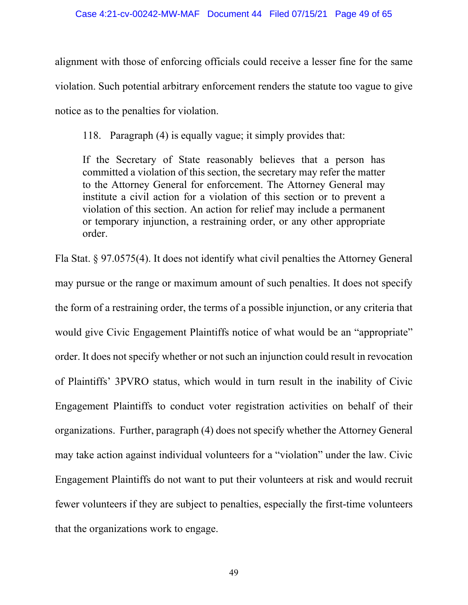alignment with those of enforcing officials could receive a lesser fine for the same violation. Such potential arbitrary enforcement renders the statute too vague to give notice as to the penalties for violation.

118. Paragraph (4) is equally vague; it simply provides that:

If the Secretary of State reasonably believes that a person has committed a violation of this section, the secretary may refer the matter to the Attorney General for enforcement. The Attorney General may institute a civil action for a violation of this section or to prevent a violation of this section. An action for relief may include a permanent or temporary injunction, a restraining order, or any other appropriate order.

Fla Stat. § 97.0575(4). It does not identify what civil penalties the Attorney General may pursue or the range or maximum amount of such penalties. It does not specify the form of a restraining order, the terms of a possible injunction, or any criteria that would give Civic Engagement Plaintiffs notice of what would be an "appropriate" order. It does not specify whether or not such an injunction could result in revocation of Plaintiffs' 3PVRO status, which would in turn result in the inability of Civic Engagement Plaintiffs to conduct voter registration activities on behalf of their organizations. Further, paragraph (4) does not specify whether the Attorney General may take action against individual volunteers for a "violation" under the law. Civic Engagement Plaintiffs do not want to put their volunteers at risk and would recruit fewer volunteers if they are subject to penalties, especially the first-time volunteers that the organizations work to engage.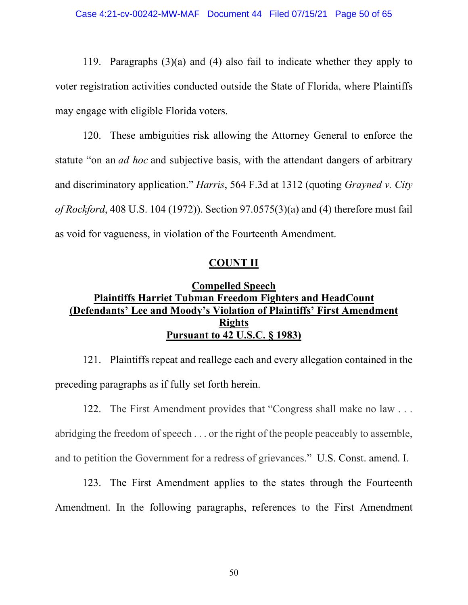119. Paragraphs (3)(a) and (4) also fail to indicate whether they apply to voter registration activities conducted outside the State of Florida, where Plaintiffs may engage with eligible Florida voters.

120. These ambiguities risk allowing the Attorney General to enforce the statute "on an *ad hoc* and subjective basis, with the attendant dangers of arbitrary and discriminatory application." *Harris*, 564 F.3d at 1312 (quoting *Grayned v. City of Rockford*, 408 U.S. 104 (1972)). Section 97.0575(3)(a) and (4) therefore must fail as void for vagueness, in violation of the Fourteenth Amendment.

## **COUNT II**

# **Compelled Speech Plaintiffs Harriet Tubman Freedom Fighters and HeadCount (Defendants' Lee and Moody's Violation of Plaintiffs' First Amendment Rights Pursuant to 42 U.S.C. § 1983)**

121. Plaintiffs repeat and reallege each and every allegation contained in the preceding paragraphs as if fully set forth herein.

122. The First Amendment provides that "Congress shall make no law . . . abridging the freedom of speech . . . or the right of the people peaceably to assemble, and to petition the Government for a redress of grievances." U.S. Const. amend. I.

123. The First Amendment applies to the states through the Fourteenth Amendment. In the following paragraphs, references to the First Amendment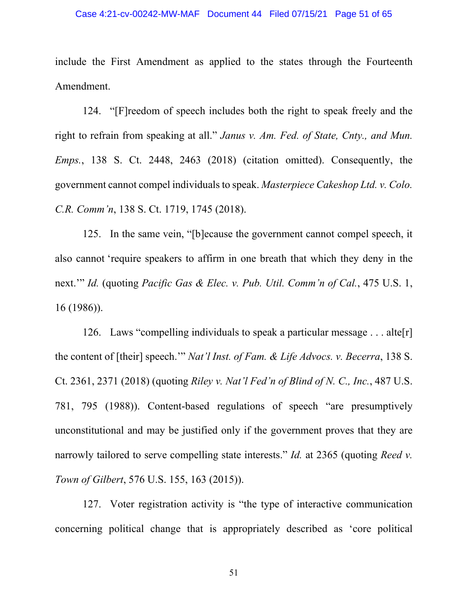include the First Amendment as applied to the states through the Fourteenth Amendment.

124. "[F]reedom of speech includes both the right to speak freely and the right to refrain from speaking at all." *Janus v. Am. Fed. of State, Cnty., and Mun. Emps.*, 138 S. Ct. 2448, 2463 (2018) (citation omitted). Consequently, the government cannot compel individuals to speak. *Masterpiece Cakeshop Ltd. v. Colo. C.R. Comm'n*, 138 S. Ct. 1719, 1745 (2018).

125. In the same vein, "[b]ecause the government cannot compel speech, it also cannot 'require speakers to affirm in one breath that which they deny in the next.'" *Id.* (quoting *Pacific Gas & Elec. v. Pub. Util. Comm'n of Cal.*, 475 U.S. 1, 16 (1986)).

126. Laws "compelling individuals to speak a particular message  $\dots$  alter the content of [their] speech.'" *Nat'l Inst. of Fam. & Life Advocs. v. Becerra*, 138 S. Ct. 2361, 2371 (2018) (quoting *Riley v. Nat'l Fed'n of Blind of N. C., Inc.*, 487 U.S. 781, 795 (1988)). Content-based regulations of speech "are presumptively unconstitutional and may be justified only if the government proves that they are narrowly tailored to serve compelling state interests." *Id.* at 2365 (quoting *Reed v. Town of Gilbert*, 576 U.S. 155, 163 (2015)).

127. Voter registration activity is "the type of interactive communication concerning political change that is appropriately described as 'core political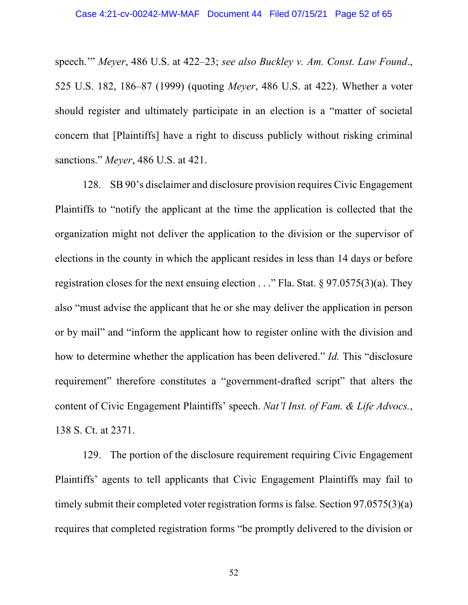speech.'" *Meyer*, 486 U.S. at 422–23; *see also Buckley v. Am. Const. Law Found*., 525 U.S. 182, 186–87 (1999) (quoting *Meyer*, 486 U.S. at 422). Whether a voter should register and ultimately participate in an election is a "matter of societal concern that [Plaintiffs] have a right to discuss publicly without risking criminal sanctions." *Meyer*, 486 U.S. at 421.

128. SB 90's disclaimer and disclosure provision requires Civic Engagement Plaintiffs to "notify the applicant at the time the application is collected that the organization might not deliver the application to the division or the supervisor of elections in the county in which the applicant resides in less than 14 days or before registration closes for the next ensuing election  $\ldots$ " Fla. Stat. § 97.0575(3)(a). They also "must advise the applicant that he or she may deliver the application in person or by mail" and "inform the applicant how to register online with the division and how to determine whether the application has been delivered." *Id.* This "disclosure requirement" therefore constitutes a "government-drafted script" that alters the content of Civic Engagement Plaintiffs' speech. *Nat'l Inst. of Fam. & Life Advocs.*, 138 S. Ct. at 2371.

129. The portion of the disclosure requirement requiring Civic Engagement Plaintiffs' agents to tell applicants that Civic Engagement Plaintiffs may fail to timely submit their completed voter registration forms is false. Section 97.0575(3)(a) requires that completed registration forms "be promptly delivered to the division or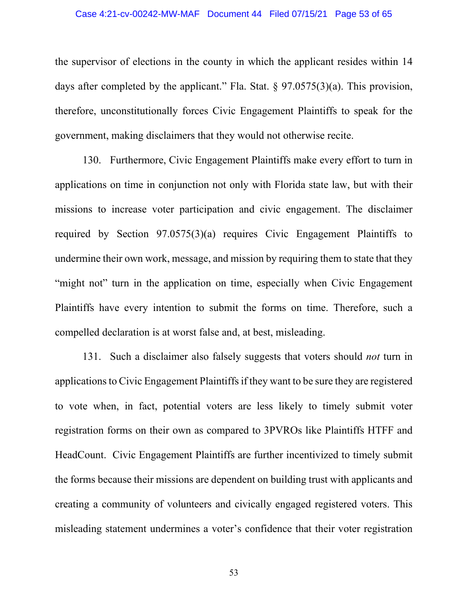### Case 4:21-cv-00242-MW-MAF Document 44 Filed 07/15/21 Page 53 of 65

the supervisor of elections in the county in which the applicant resides within 14 days after completed by the applicant." Fla. Stat. § 97.0575(3)(a). This provision, therefore, unconstitutionally forces Civic Engagement Plaintiffs to speak for the government, making disclaimers that they would not otherwise recite.

130. Furthermore, Civic Engagement Plaintiffs make every effort to turn in applications on time in conjunction not only with Florida state law, but with their missions to increase voter participation and civic engagement. The disclaimer required by Section 97.0575(3)(a) requires Civic Engagement Plaintiffs to undermine their own work, message, and mission by requiring them to state that they "might not" turn in the application on time, especially when Civic Engagement Plaintiffs have every intention to submit the forms on time. Therefore, such a compelled declaration is at worst false and, at best, misleading.

131. Such a disclaimer also falsely suggests that voters should *not* turn in applications to Civic Engagement Plaintiffs if they want to be sure they are registered to vote when, in fact, potential voters are less likely to timely submit voter registration forms on their own as compared to 3PVROs like Plaintiffs HTFF and HeadCount. Civic Engagement Plaintiffs are further incentivized to timely submit the forms because their missions are dependent on building trust with applicants and creating a community of volunteers and civically engaged registered voters. This misleading statement undermines a voter's confidence that their voter registration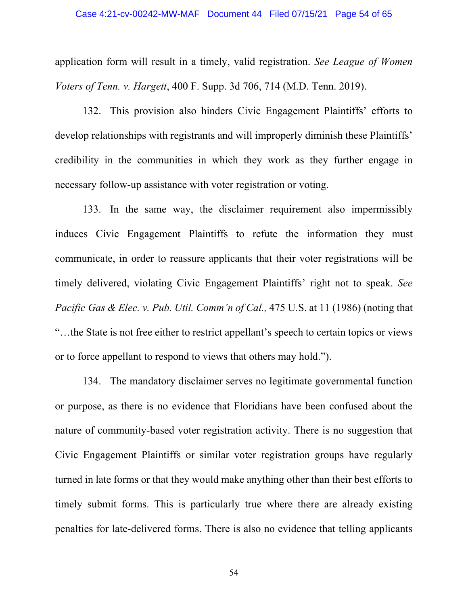application form will result in a timely, valid registration. *See League of Women Voters of Tenn. v. Hargett*, 400 F. Supp. 3d 706, 714 (M.D. Tenn. 2019).

132. This provision also hinders Civic Engagement Plaintiffs' efforts to develop relationships with registrants and will improperly diminish these Plaintiffs' credibility in the communities in which they work as they further engage in necessary follow-up assistance with voter registration or voting.

133. In the same way, the disclaimer requirement also impermissibly induces Civic Engagement Plaintiffs to refute the information they must communicate, in order to reassure applicants that their voter registrations will be timely delivered, violating Civic Engagement Plaintiffs' right not to speak. *See Pacific Gas & Elec. v. Pub. Util. Comm'n of Cal., 475 U.S. at 11 (1986)* (noting that "…the State is not free either to restrict appellant's speech to certain topics or views or to force appellant to respond to views that others may hold.").

134. The mandatory disclaimer serves no legitimate governmental function or purpose, as there is no evidence that Floridians have been confused about the nature of community-based voter registration activity. There is no suggestion that Civic Engagement Plaintiffs or similar voter registration groups have regularly turned in late forms or that they would make anything other than their best efforts to timely submit forms. This is particularly true where there are already existing penalties for late-delivered forms. There is also no evidence that telling applicants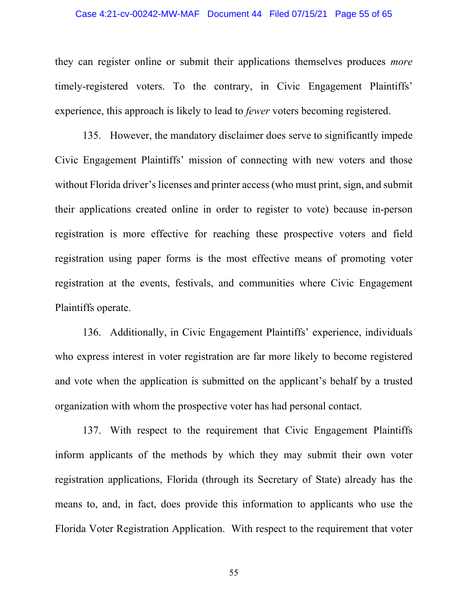### Case 4:21-cv-00242-MW-MAF Document 44 Filed 07/15/21 Page 55 of 65

they can register online or submit their applications themselves produces *more* timely-registered voters. To the contrary, in Civic Engagement Plaintiffs' experience, this approach is likely to lead to *fewer* voters becoming registered.

135. However, the mandatory disclaimer does serve to significantly impede Civic Engagement Plaintiffs' mission of connecting with new voters and those without Florida driver's licenses and printer access (who must print, sign, and submit their applications created online in order to register to vote) because in-person registration is more effective for reaching these prospective voters and field registration using paper forms is the most effective means of promoting voter registration at the events, festivals, and communities where Civic Engagement Plaintiffs operate.

136. Additionally, in Civic Engagement Plaintiffs' experience, individuals who express interest in voter registration are far more likely to become registered and vote when the application is submitted on the applicant's behalf by a trusted organization with whom the prospective voter has had personal contact.

137. With respect to the requirement that Civic Engagement Plaintiffs inform applicants of the methods by which they may submit their own voter registration applications, Florida (through its Secretary of State) already has the means to, and, in fact, does provide this information to applicants who use the Florida Voter Registration Application. With respect to the requirement that voter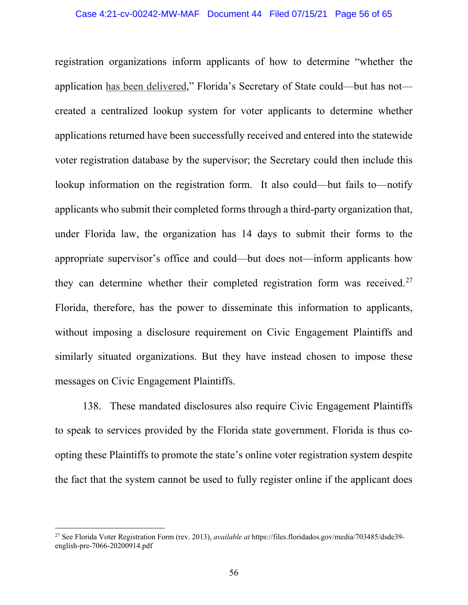registration organizations inform applicants of how to determine "whether the application has been delivered," Florida's Secretary of State could—but has not created a centralized lookup system for voter applicants to determine whether applications returned have been successfully received and entered into the statewide voter registration database by the supervisor; the Secretary could then include this lookup information on the registration form. It also could—but fails to—notify applicants who submit their completed forms through a third-party organization that, under Florida law, the organization has 14 days to submit their forms to the appropriate supervisor's office and could—but does not—inform applicants how they can determine whether their completed registration form was received.<sup>[27](#page-55-0)</sup> Florida, therefore, has the power to disseminate this information to applicants, without imposing a disclosure requirement on Civic Engagement Plaintiffs and similarly situated organizations. But they have instead chosen to impose these messages on Civic Engagement Plaintiffs.

138. These mandated disclosures also require Civic Engagement Plaintiffs to speak to services provided by the Florida state government. Florida is thus coopting these Plaintiffs to promote the state's online voter registration system despite the fact that the system cannot be used to fully register online if the applicant does

<span id="page-55-0"></span><sup>27</sup> See Florida Voter Registration Form (rev. 2013), *available at* https://files.floridados.gov/media/703485/dsde39 english-pre-7066-20200914.pdf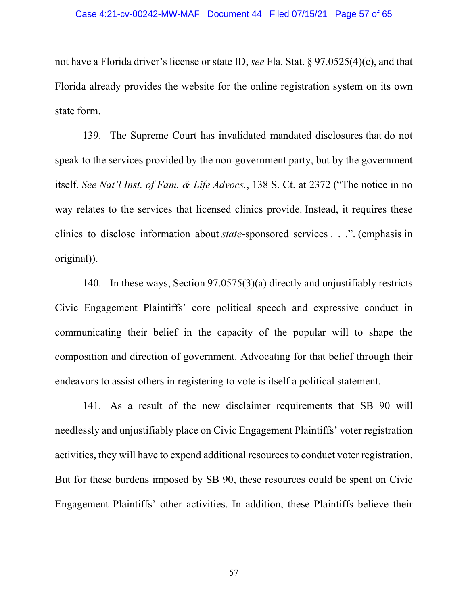not have a Florida driver's license or state ID, *see* Fla. Stat. § 97.0525(4)(c), and that Florida already provides the website for the online registration system on its own state form.

139. The Supreme Court has invalidated mandated disclosures that do not speak to the services provided by the non-government party, but by the government itself. *See Nat'l Inst. of Fam. & Life Advocs.*, 138 S. Ct. at 2372 ("The notice in no way relates to the services that licensed clinics provide. Instead, it requires these clinics to disclose information about *state*-sponsored services . . .". (emphasis in original)).

140. In these ways, Section 97.0575(3)(a) directly and unjustifiably restricts Civic Engagement Plaintiffs' core political speech and expressive conduct in communicating their belief in the capacity of the popular will to shape the composition and direction of government. Advocating for that belief through their endeavors to assist others in registering to vote is itself a political statement.

141. As a result of the new disclaimer requirements that SB 90 will needlessly and unjustifiably place on Civic Engagement Plaintiffs' voter registration activities, they will have to expend additional resources to conduct voter registration. But for these burdens imposed by SB 90, these resources could be spent on Civic Engagement Plaintiffs' other activities. In addition, these Plaintiffs believe their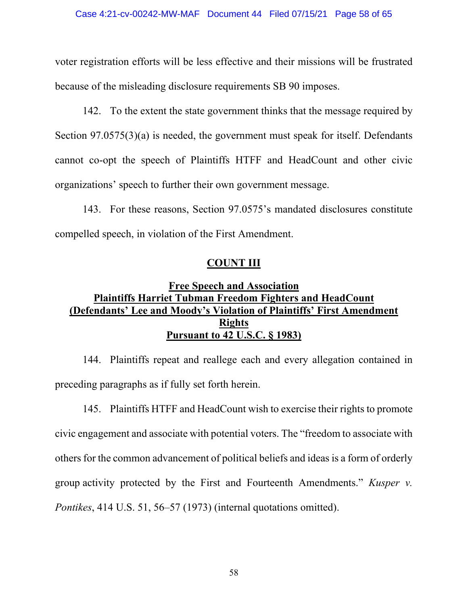voter registration efforts will be less effective and their missions will be frustrated because of the misleading disclosure requirements SB 90 imposes.

142. To the extent the state government thinks that the message required by Section 97.0575(3)(a) is needed, the government must speak for itself. Defendants cannot co-opt the speech of Plaintiffs HTFF and HeadCount and other civic organizations' speech to further their own government message.

143. For these reasons, Section 97.0575's mandated disclosures constitute compelled speech, in violation of the First Amendment.

## **COUNT III**

# **Free Speech and Association Plaintiffs Harriet Tubman Freedom Fighters and HeadCount (Defendants' Lee and Moody's Violation of Plaintiffs' First Amendment Rights Pursuant to 42 U.S.C. § 1983)**

144. Plaintiffs repeat and reallege each and every allegation contained in preceding paragraphs as if fully set forth herein.

145. Plaintiffs HTFF and HeadCount wish to exercise their rights to promote civic engagement and associate with potential voters. The "freedom to associate with others for the common advancement of political beliefs and ideas is a form of orderly group activity protected by the First and Fourteenth Amendments." *Kusper v. Pontikes*, 414 U.S. 51, 56–57 (1973) (internal quotations omitted).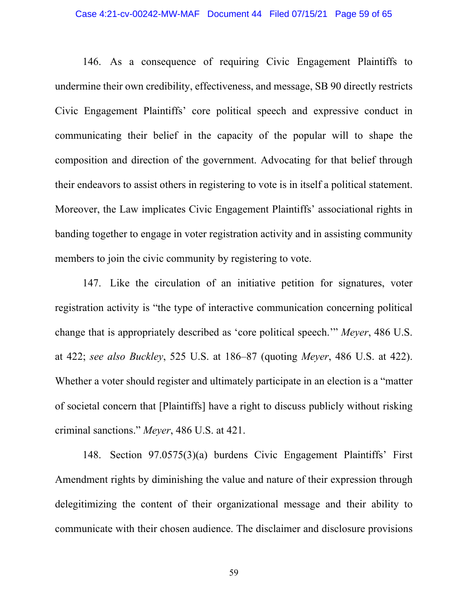### Case 4:21-cv-00242-MW-MAF Document 44 Filed 07/15/21 Page 59 of 65

146. As a consequence of requiring Civic Engagement Plaintiffs to undermine their own credibility, effectiveness, and message, SB 90 directly restricts Civic Engagement Plaintiffs' core political speech and expressive conduct in communicating their belief in the capacity of the popular will to shape the composition and direction of the government. Advocating for that belief through their endeavors to assist others in registering to vote is in itself a political statement. Moreover, the Law implicates Civic Engagement Plaintiffs' associational rights in banding together to engage in voter registration activity and in assisting community members to join the civic community by registering to vote.

147. Like the circulation of an initiative petition for signatures, voter registration activity is "the type of interactive communication concerning political change that is appropriately described as 'core political speech.'" *Meyer*, 486 U.S. at 422; *see also Buckley*, 525 U.S. at 186–87 (quoting *Meyer*, 486 U.S. at 422). Whether a voter should register and ultimately participate in an election is a "matter of societal concern that [Plaintiffs] have a right to discuss publicly without risking criminal sanctions." *Meyer*, 486 U.S. at 421.

148. Section 97.0575(3)(a) burdens Civic Engagement Plaintiffs' First Amendment rights by diminishing the value and nature of their expression through delegitimizing the content of their organizational message and their ability to communicate with their chosen audience. The disclaimer and disclosure provisions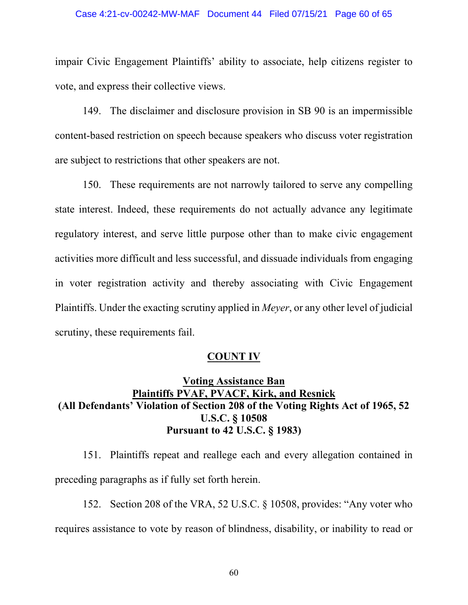impair Civic Engagement Plaintiffs' ability to associate, help citizens register to vote, and express their collective views.

149. The disclaimer and disclosure provision in SB 90 is an impermissible content-based restriction on speech because speakers who discuss voter registration are subject to restrictions that other speakers are not.

150. These requirements are not narrowly tailored to serve any compelling state interest. Indeed, these requirements do not actually advance any legitimate regulatory interest, and serve little purpose other than to make civic engagement activities more difficult and less successful, and dissuade individuals from engaging in voter registration activity and thereby associating with Civic Engagement Plaintiffs. Under the exacting scrutiny applied in *Meyer*, or any other level of judicial scrutiny, these requirements fail.

## **COUNT IV**

# **Voting Assistance Ban Plaintiffs PVAF, PVACF, Kirk, and Resnick (All Defendants' Violation of Section 208 of the Voting Rights Act of 1965, 52 U.S.C. § 10508 Pursuant to 42 U.S.C. § 1983)**

151. Plaintiffs repeat and reallege each and every allegation contained in preceding paragraphs as if fully set forth herein.

152. Section 208 of the VRA, 52 U.S.C. § 10508, provides: "Any voter who requires assistance to vote by reason of blindness, disability, or inability to read or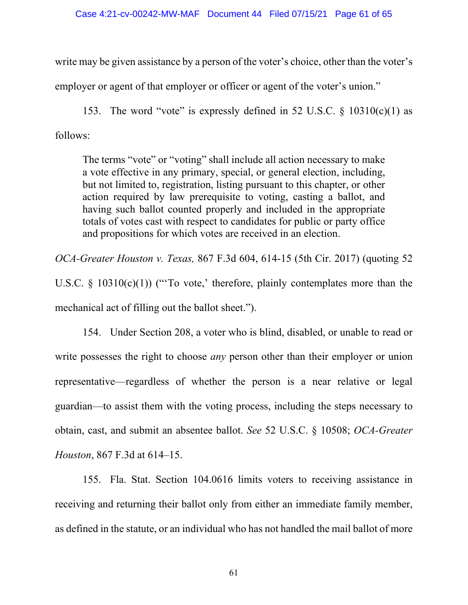write may be given assistance by a person of the voter's choice, other than the voter's employer or agent of that employer or officer or agent of the voter's union."

153. The word "vote" is expressly defined in 52 U.S.C.  $\frac{$10310(c)(1)}{25}$  as follows:

The terms "vote" or "voting" shall include all action necessary to make a vote effective in any primary, special, or general election, including, but not limited to, registration, listing pursuant to this chapter, or other action required by law prerequisite to voting, casting a ballot, and having such ballot counted properly and included in the appropriate totals of votes cast with respect to candidates for public or party office and propositions for which votes are received in an election.

*OCA-Greater Houston v. Texas,* 867 F.3d 604, 614-15 (5th Cir. 2017) (quoting 52 U.S.C.  $\S$  10310(c)(1)) ("To vote,' therefore, plainly contemplates more than the mechanical act of filling out the ballot sheet.").

154. Under Section 208, a voter who is blind, disabled, or unable to read or write possesses the right to choose *any* person other than their employer or union representative—regardless of whether the person is a near relative or legal guardian—to assist them with the voting process, including the steps necessary to obtain, cast, and submit an absentee ballot. *See* 52 U.S.C. § 10508; *OCA-Greater Houston*, 867 F.3d at 614–15.

155. Fla. Stat. Section 104.0616 limits voters to receiving assistance in receiving and returning their ballot only from either an immediate family member, as defined in the statute, or an individual who has not handled the mail ballot of more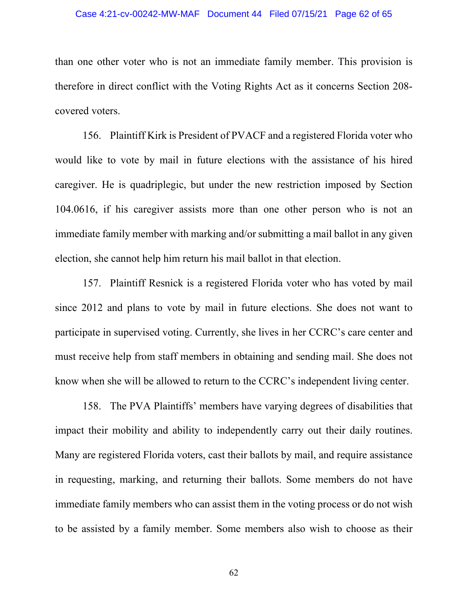### Case 4:21-cv-00242-MW-MAF Document 44 Filed 07/15/21 Page 62 of 65

than one other voter who is not an immediate family member. This provision is therefore in direct conflict with the Voting Rights Act as it concerns Section 208 covered voters.

156. Plaintiff Kirk is President of PVACF and a registered Florida voter who would like to vote by mail in future elections with the assistance of his hired caregiver. He is quadriplegic, but under the new restriction imposed by Section 104.0616, if his caregiver assists more than one other person who is not an immediate family member with marking and/or submitting a mail ballot in any given election, she cannot help him return his mail ballot in that election.

157. Plaintiff Resnick is a registered Florida voter who has voted by mail since 2012 and plans to vote by mail in future elections. She does not want to participate in supervised voting. Currently, she lives in her CCRC's care center and must receive help from staff members in obtaining and sending mail. She does not know when she will be allowed to return to the CCRC's independent living center.

158. The PVA Plaintiffs' members have varying degrees of disabilities that impact their mobility and ability to independently carry out their daily routines. Many are registered Florida voters, cast their ballots by mail, and require assistance in requesting, marking, and returning their ballots. Some members do not have immediate family members who can assist them in the voting process or do not wish to be assisted by a family member. Some members also wish to choose as their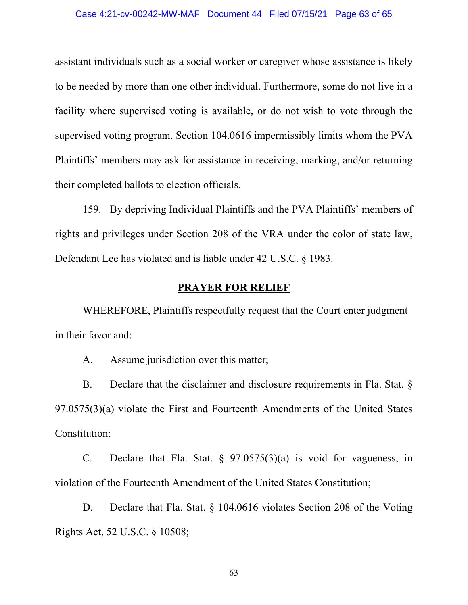assistant individuals such as a social worker or caregiver whose assistance is likely to be needed by more than one other individual. Furthermore, some do not live in a facility where supervised voting is available, or do not wish to vote through the supervised voting program. Section 104.0616 impermissibly limits whom the PVA Plaintiffs' members may ask for assistance in receiving, marking, and/or returning their completed ballots to election officials.

159. By depriving Individual Plaintiffs and the PVA Plaintiffs' members of rights and privileges under Section 208 of the VRA under the color of state law, Defendant Lee has violated and is liable under 42 U.S.C. § 1983.

## **PRAYER FOR RELIEF**

WHEREFORE, Plaintiffs respectfully request that the Court enter judgment in their favor and:

A. Assume jurisdiction over this matter;

B. Declare that the disclaimer and disclosure requirements in Fla. Stat.  $\delta$ 97.0575(3)(a) violate the First and Fourteenth Amendments of the United States Constitution;

C. Declare that Fla. Stat.  $\S$  97.0575(3)(a) is void for vagueness, in violation of the Fourteenth Amendment of the United States Constitution;

D. Declare that Fla. Stat. § 104.0616 violates Section 208 of the Voting Rights Act, 52 U.S.C. § 10508;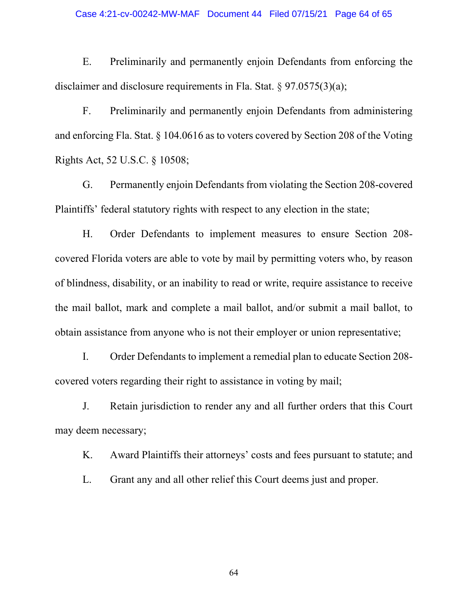### Case 4:21-cv-00242-MW-MAF Document 44 Filed 07/15/21 Page 64 of 65

E. Preliminarily and permanently enjoin Defendants from enforcing the disclaimer and disclosure requirements in Fla. Stat. § 97.0575(3)(a);

F. Preliminarily and permanently enjoin Defendants from administering and enforcing Fla. Stat. § 104.0616 as to voters covered by Section 208 of the Voting Rights Act, 52 U.S.C. § 10508;

G. Permanently enjoin Defendants from violating the Section 208-covered Plaintiffs' federal statutory rights with respect to any election in the state;

H. Order Defendants to implement measures to ensure Section 208 covered Florida voters are able to vote by mail by permitting voters who, by reason of blindness, disability, or an inability to read or write, require assistance to receive the mail ballot, mark and complete a mail ballot, and/or submit a mail ballot, to obtain assistance from anyone who is not their employer or union representative;

I. Order Defendants to implement a remedial plan to educate Section 208 covered voters regarding their right to assistance in voting by mail;

J. Retain jurisdiction to render any and all further orders that this Court may deem necessary;

K. Award Plaintiffs their attorneys' costs and fees pursuant to statute; and

L. Grant any and all other relief this Court deems just and proper.